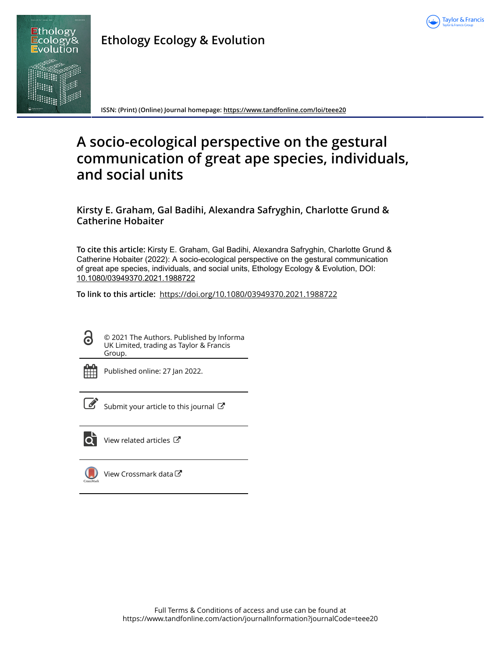

**Ethology Ecology & Evolution**

**ISSN: (Print) (Online) Journal homepage:<https://www.tandfonline.com/loi/teee20>**

# **A socio-ecological perspective on the gestural communication of great ape species, individuals, and social units**

**Kirsty E. Graham, Gal Badihi, Alexandra Safryghin, Charlotte Grund & Catherine Hobaiter**

**To cite this article:** Kirsty E. Graham, Gal Badihi, Alexandra Safryghin, Charlotte Grund & Catherine Hobaiter (2022): A socio-ecological perspective on the gestural communication of great ape species, individuals, and social units, Ethology Ecology & Evolution, DOI: [10.1080/03949370.2021.1988722](https://www.tandfonline.com/action/showCitFormats?doi=10.1080/03949370.2021.1988722)

**To link to this article:** <https://doi.org/10.1080/03949370.2021.1988722>

ര

© 2021 The Authors. Published by Informa UK Limited, trading as Taylor & Francis Group.



Published online: 27 Jan 2022.



 $\overrightarrow{S}$  [Submit your article to this journal](https://www.tandfonline.com/action/authorSubmission?journalCode=teee20&show=instructions)  $\overrightarrow{S}$ 



[View related articles](https://www.tandfonline.com/doi/mlt/10.1080/03949370.2021.1988722)  $\mathbb{Z}$ 



[View Crossmark data](http://crossmark.crossref.org/dialog/?doi=10.1080/03949370.2021.1988722&domain=pdf&date_stamp=2022-01-27)<sup>C</sup>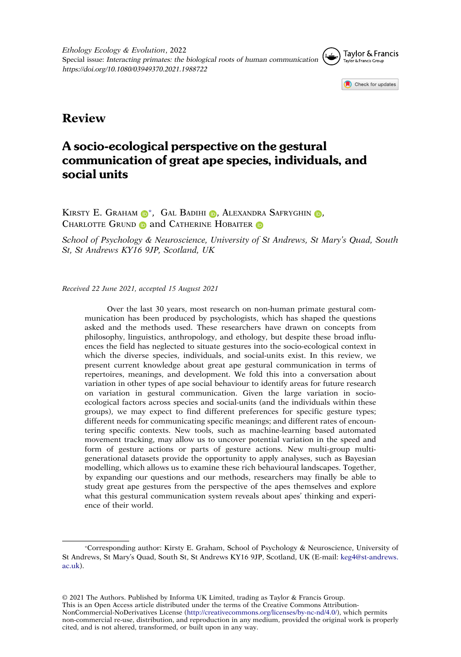

**Review**

# A socio-ecological perspective on the gestural communication of great ape species, individuals, and social units

KIRSTY E. GRAHAM  $\mathbb{D}^*$ [,](http://orcid.org/0000-0002-8019-5455) Gal Badihi  $\mathbb{D}$ , Alexandra Safryghin  $\mathbb{D}$ , CHARLOTTE GRUND **and CATHERINE HOBAITER** 

*School of Psychology & Neuroscience, University of St Andrews, St Mary's Quad, South St, St Andrews KY16 9JP, Scotland, UK*

*Received 22 June 2021, accepted 15 August 2021*

Over the last 30 years, most research on non-human primate gestural communication has been produced by psychologists, which has shaped the questions asked and the methods used. These researchers have drawn on concepts from philosophy, linguistics, anthropology, and ethology, but despite these broad influences the field has neglected to situate gestures into the socio-ecological context in which the diverse species, individuals, and social-units exist. In this review, we present current knowledge about great ape gestural communication in terms of repertoires, meanings, and development. We fold this into a conversation about variation in other types of ape social behaviour to identify areas for future research on variation in gestural communication. Given the large variation in socioecological factors across species and social-units (and the individuals within these groups), we may expect to find different preferences for specific gesture types; different needs for communicating specific meanings; and different rates of encountering specific contexts. New tools, such as machine-learning based automated movement tracking, may allow us to uncover potential variation in the speed and form of gesture actions or parts of gesture actions. New multi-group multigenerational datasets provide the opportunity to apply analyses, such as Bayesian modelling, which allows us to examine these rich behavioural landscapes. Together, by expanding our questions and our methods, researchers may finally be able to study great ape gestures from the perspective of the apes themselves and explore what this gestural communication system reveals about apes' thinking and experience of their world.

This is an Open Access article distributed under the terms of the Creative Commons Attribution-

<span id="page-1-0"></span><sup>\*</sup>Corresponding author: Kirsty E. Graham, School of Psychology & Neuroscience, University of St Andrews, St Mary's Quad, South St, St Andrews KY16 9JP, Scotland, UK (E-mail: keg4@st-andrews.  $ac<sub>11</sub>k$ ).

<sup>© 2021</sup> The Authors. Published by Informa UK Limited, trading as Taylor & Francis Group.

NonCommercial-NoDerivatives License (http://creativecommons.org/licenses/by-nc-nd/4.0/), which permits non-commercial re-use, distribution, and reproduction in any medium, provided the original work is properly cited, and is not altered, transformed, or built upon in any way.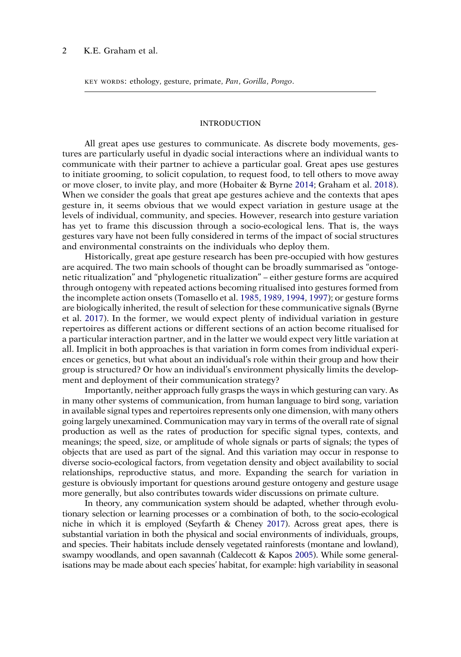KEY WORDS: ethology, gesture, primate, *Pan*, *Gorilla*, *Pongo*.

#### INTRODUCTION

<span id="page-2-2"></span>All great apes use gestures to communicate. As discrete body movements, gestures are particularly useful in dyadic social interactions where an individual wants to communicate with their partner to achieve a particular goal. Great apes use gestures to initiate grooming, to solicit copulation, to request food, to tell others to move away or move closer, to invite play, and more (Hobaiter & Byrne [2014;](#page-18-0) Graham et al. [2018\)](#page-18-1). When we consider the goals that great ape gestures achieve and the contexts that apes gesture in, it seems obvious that we would expect variation in gesture usage at the levels of individual, community, and species. However, research into gesture variation has yet to frame this discussion through a socio-ecological lens. That is, the ways gestures vary have not been fully considered in terms of the impact of social structures and environmental constraints on the individuals who deploy them.

<span id="page-2-4"></span><span id="page-2-0"></span>Historically, great ape gesture research has been pre-occupied with how gestures are acquired. The two main schools of thought can be broadly summarised as "ontogenetic ritualization" and "phylogenetic ritualization" – either gesture forms are acquired through ontogeny with repeated actions becoming ritualised into gestures formed from the incomplete action onsets (Tomasello et al. [1985](#page-24-0), [1989,](#page-24-1) [1994](#page-24-2), [1997\)](#page-24-3); or gesture forms are biologically inherited, the result of selection for these communicative signals (Byrne et al. [2017\)](#page-16-0). In the former, we would expect plenty of individual variation in gesture repertoires as different actions or different sections of an action become ritualised for a particular interaction partner, and in the latter we would expect very little variation at all. Implicit in both approaches is that variation in form comes from individual experiences or genetics, but what about an individual's role within their group and how their group is structured? Or how an individual's environment physically limits the development and deployment of their communication strategy?

Importantly, neither approach fully grasps the ways in which gesturing can vary. As in many other systems of communication, from human language to bird song, variation in available signal types and repertoires represents only one dimension, with many others going largely unexamined. Communication may vary in terms of the overall rate of signal production as well as the rates of production for specific signal types, contexts, and meanings; the speed, size, or amplitude of whole signals or parts of signals; the types of objects that are used as part of the signal. And this variation may occur in response to diverse socio-ecological factors, from vegetation density and object availability to social relationships, reproductive status, and more. Expanding the search for variation in gesture is obviously important for questions around gesture ontogeny and gesture usage more generally, but also contributes towards wider discussions on primate culture.

<span id="page-2-3"></span><span id="page-2-1"></span>In theory, any communication system should be adapted, whether through evolutionary selection or learning processes or a combination of both, to the socio-ecological niche in which it is employed (Seyfarth & Cheney [2017](#page-23-0)). Across great apes, there is substantial variation in both the physical and social environments of individuals, groups, and species. Their habitats include densely vegetated rainforests (montane and lowland), swampy woodlands, and open savannah (Caldecott & Kapos [2005](#page-16-1)). While some generalisations may be made about each species' habitat, for example: high variability in seasonal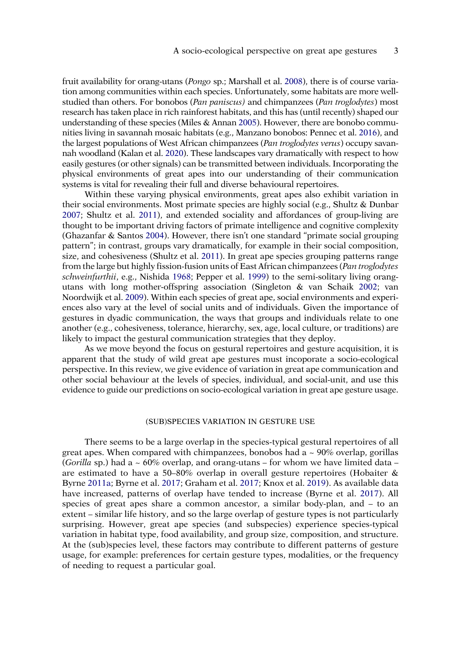<span id="page-3-6"></span><span id="page-3-4"></span><span id="page-3-3"></span>fruit availability for orang-utans (*Pongo* sp.; Marshall et al. [2008\)](#page-20-0), there is of course variation among communities within each species. Unfortunately, some habitats are more wellstudied than others. For bonobos (*Pan paniscus)* and chimpanzees (*Pan troglodytes*) most research has taken place in rich rainforest habitats, and this has (until recently) shaped our understanding of these species (Miles & Annan [2005\)](#page-20-1). However, there are bonobo communities living in savannah mosaic habitats (e.g., Manzano bonobos: Pennec et al. [2016\)](#page-21-0), and the largest populations of West African chimpanzees (*Pan troglodytes verus*) occupy savannah woodland (Kalan et al. [2020](#page-19-0)). These landscapes vary dramatically with respect to how easily gestures (or other signals) can be transmitted between individuals. Incorporating the physical environments of great apes into our understanding of their communication systems is vital for revealing their full and diverse behavioural repertoires.

<span id="page-3-8"></span><span id="page-3-7"></span><span id="page-3-2"></span><span id="page-3-0"></span>Within these varying physical environments, great apes also exhibit variation in their social environments. Most primate species are highly social (e.g., Shultz & Dunbar [2007](#page-23-1); Shultz et al. [2011](#page-23-2)), and extended sociality and affordances of group-living are thought to be important driving factors of primate intelligence and cognitive complexity (Ghazanfar & Santos [2004\)](#page-17-0). However, there isn't one standard "primate social grouping pattern"; in contrast, groups vary dramatically, for example in their social composition, size, and cohesiveness (Shultz et al. [2011](#page-23-2)). In great ape species grouping patterns range from the large but highly fission-fusion units of East African chimpanzees (*Pan troglodytes schweinfurthii*, e.g., Nishida [1968](#page-21-1); Pepper et al. [1999\)](#page-21-2) to the semi-solitary living orangutans with long mother-offspring association (Singleton & van Schaik [2002;](#page-23-3) van Noordwijk et al. [2009\)](#page-24-4). Within each species of great ape, social environments and experiences also vary at the level of social units and of individuals. Given the importance of gestures in dyadic communication, the ways that groups and individuals relate to one another (e.g., cohesiveness, tolerance, hierarchy, sex, age, local culture, or traditions) are likely to impact the gestural communication strategies that they deploy.

<span id="page-3-10"></span><span id="page-3-9"></span><span id="page-3-5"></span>As we move beyond the focus on gestural repertoires and gesture acquisition, it is apparent that the study of wild great ape gestures must incoporate a socio-ecological perspective. In this review, we give evidence of variation in great ape communication and other social behaviour at the levels of species, individual, and social-unit, and use this evidence to guide our predictions on socio-ecological variation in great ape gesture usage.

# (SUB)SPECIES VARIATION IN GESTURE USE

<span id="page-3-1"></span>There seems to be a large overlap in the species-typical gestural repertoires of all great apes. When compared with chimpanzees, bonobos had a  $\sim$  90% overlap, gorillas (*Gorilla* sp.) had a ~ 60% overlap, and orang-utans – for whom we have limited data – are estimated to have a 50–80% overlap in overall gesture repertoires (Hobaiter  $\&$ Byrne [2011a;](#page-18-2) Byrne et al. [2017](#page-16-0); Graham et al. [2017;](#page-18-3) Knox et al. [2019\)](#page-19-1). As available data have increased, patterns of overlap have tended to increase (Byrne et al. [2017\)](#page-16-0). All species of great apes share a common ancestor, a similar body-plan, and – to an extent – similar life history, and so the large overlap of gesture types is not particularly surprising. However, great ape species (and subspecies) experience species-typical variation in habitat type, food availability, and group size, composition, and structure. At the (sub)species level, these factors may contribute to different patterns of gesture usage, for example: preferences for certain gesture types, modalities, or the frequency of needing to request a particular goal.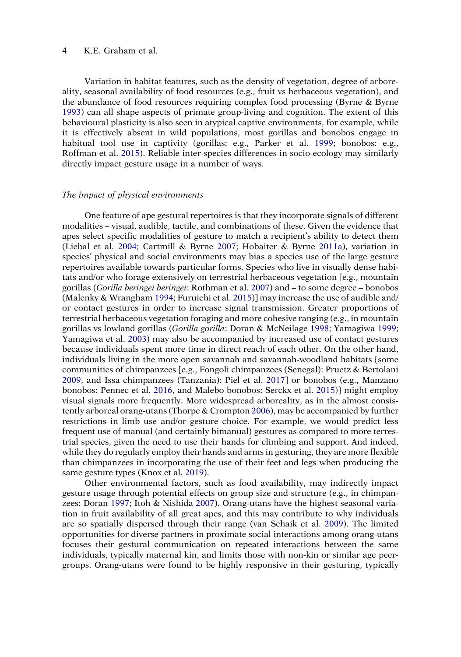<span id="page-4-0"></span>Variation in habitat features, such as the density of vegetation, degree of arboreality, seasonal availability of food resources (e.g., fruit vs herbaceous vegetation), and the abundance of food resources requiring complex food processing (Byrne & Byrne [1993\)](#page-16-2) can all shape aspects of primate group-living and cognition. The extent of this behavioural plasticity is also seen in atypical captive environments, for example, while it is effectively absent in wild populations, most gorillas and bonobos engage in habitual tool use in captivity (gorillas: e.g., Parker et al. [1999;](#page-21-3) bonobos: e.g., Roffman et al. [2015\)](#page-22-0). Reliable inter-species differences in socio-ecology may similarly directly impact gesture usage in a number of ways.

#### <span id="page-4-8"></span><span id="page-4-5"></span>*The impact of physical environments*

<span id="page-4-13"></span><span id="page-4-9"></span><span id="page-4-4"></span><span id="page-4-3"></span><span id="page-4-1"></span>One feature of ape gestural repertoires is that they incorporate signals of different modalities – visual, audible, tactile, and combinations of these. Given the evidence that apes select specific modalities of gesture to match a recipient's ability to detect them (Liebal et al. [2004](#page-20-2); Cartmill & Byrne [2007;](#page-16-3) Hobaiter & Byrne [2011a](#page-18-2)), variation in species' physical and social environments may bias a species use of the large gesture repertoires available towards particular forms. Species who live in visually dense habitats and/or who forage extensively on terrestrial herbaceous vegetation [e.g., mountain gorillas (*Gorilla beringei beringei*: Rothman et al. [2007\)](#page-22-1) and – to some degree – bonobos (Malenky & Wrangham [1994;](#page-20-3) Furuichi et al. [2015\)](#page-17-1)] may increase the use of audible and/ or contact gestures in order to increase signal transmission. Greater proportions of terrestrial herbaceous vegetation foraging and more cohesive ranging (e.g., in mountain gorillas vs lowland gorillas (*Gorilla gorilla*: Doran & McNeilage [1998](#page-17-2); Yamagiwa [1999](#page-25-0); Yamagiwa et al. [2003\)](#page-25-1) may also be accompanied by increased use of contact gestures because individuals spent more time in direct reach of each other. On the other hand, individuals living in the more open savannah and savannah-woodland habitats {some communities of chimpanzees [e.g., Fongoli chimpanzees (Senegal): Pruetz & Bertolani [2009,](#page-22-2) and Issa chimpanzees (Tanzania): Piel et al. [2017](#page-21-4)] or bonobos (e.g., Manzano bonobos: Pennec et al. [2016,](#page-21-0) and Malebo bonobos: Serckx et al. [2015\)](#page-23-4)} might employ visual signals more frequently. More widespread arboreality, as in the almost consistently arboreal orang-utans (Thorpe & Crompton [2006](#page-24-5)), may be accompanied by further restrictions in limb use and/or gesture choice. For example, we would predict less frequent use of manual (and certainly bimanual) gestures as compared to more terrestrial species, given the need to use their hands for climbing and support. And indeed, while they do regularly employ their hands and arms in gesturing, they are more flexible than chimpanzees in incorporating the use of their feet and legs when producing the same gesture types (Knox et al. [2019](#page-19-1)).

<span id="page-4-12"></span><span id="page-4-11"></span><span id="page-4-10"></span><span id="page-4-7"></span><span id="page-4-6"></span><span id="page-4-2"></span>Other environmental factors, such as food availability, may indirectly impact gesture usage through potential effects on group size and structure (e.g., in chimpanzees: Doran [1997;](#page-17-3) Itoh & Nishida [2007\)](#page-19-2). Orang-utans have the highest seasonal variation in fruit availability of all great apes, and this may contribute to why individuals are so spatially dispersed through their range (van Schaik et al. [2009](#page-24-6)). The limited opportunities for diverse partners in proximate social interactions among orang-utans focuses their gestural communication on repeated interactions between the same individuals, typically maternal kin, and limits those with non-kin or similar age peergroups. Orang-utans were found to be highly responsive in their gesturing, typically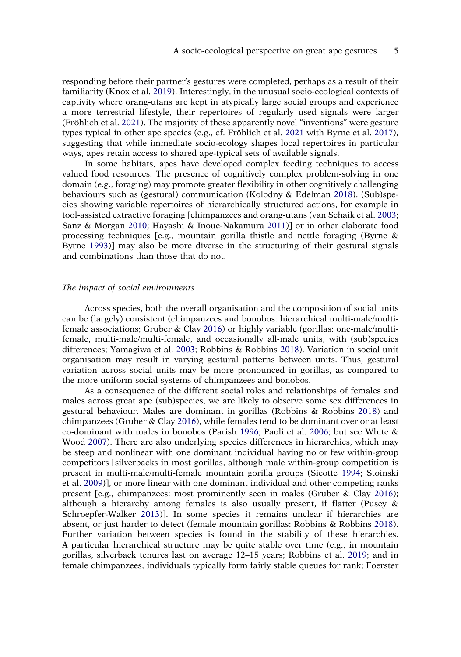responding before their partner's gestures were completed, perhaps as a result of their familiarity (Knox et al. [2019\)](#page-19-1). Interestingly, in the unusual socio-ecological contexts of captivity where orang-utans are kept in atypically large social groups and experience a more terrestrial lifestyle, their repertoires of regularly used signals were larger (Fröhlich et al. [2021](#page-17-4)). The majority of these apparently novel "inventions" were gesture types typical in other ape species (e.g., cf. Fröhlich et al. [2021](#page-17-4) with Byrne et al. [2017\)](#page-16-0), suggesting that while immediate socio-ecology shapes local repertoires in particular ways, apes retain access to shared ape-typical sets of available signals.

<span id="page-5-11"></span><span id="page-5-4"></span><span id="page-5-3"></span><span id="page-5-1"></span>In some habitats, apes have developed complex feeding techniques to access valued food resources. The presence of cognitively complex problem-solving in one domain (e.g., foraging) may promote greater flexibility in other cognitively challenging behaviours such as (gestural) communication (Kolodny & Edelman [2018](#page-19-3)). (Sub)species showing variable repertoires of hierarchically structured actions, for example in tool-assisted extractive foraging [chimpanzees and orang-utans (van Schaik et al. [2003](#page-24-7); Sanz & Morgan [2010](#page-23-5); Hayashi & Inoue-Nakamura [2011](#page-18-4))] or in other elaborate food processing techniques [e.g., mountain gorilla thistle and nettle foraging (Byrne & Byrne [1993\)](#page-16-2)] may also be more diverse in the structuring of their gestural signals and combinations than those that do not.

# *The impact of social environments*

Across species, both the overall organisation and the composition of social units can be (largely) consistent (chimpanzees and bonobos: hierarchical multi-male/multifemale associations; Gruber & Clay [2016\)](#page-18-5) or highly variable (gorillas: one-male/multifemale, multi-male/multi-female, and occasionally all-male units, with (sub)species differences; Yamagiwa et al. [2003;](#page-25-1) Robbins & Robbins [2018](#page-22-3)). Variation in social unit organisation may result in varying gestural patterns between units. Thus, gestural variation across social units may be more pronounced in gorillas, as compared to the more uniform social systems of chimpanzees and bonobos.

<span id="page-5-12"></span><span id="page-5-10"></span><span id="page-5-9"></span><span id="page-5-8"></span><span id="page-5-7"></span><span id="page-5-6"></span><span id="page-5-5"></span><span id="page-5-2"></span><span id="page-5-0"></span>As a consequence of the different social roles and relationships of females and males across great ape (sub)species, we are likely to observe some sex differences in gestural behaviour. Males are dominant in gorillas (Robbins & Robbins [2018](#page-22-3)) and chimpanzees (Gruber & Clay [2016\)](#page-18-5), while females tend to be dominant over or at least co-dominant with males in bonobos (Parish [1996;](#page-21-5) Paoli et al. [2006](#page-21-6); but see White & Wood [2007](#page-25-2)). There are also underlying species differences in hierarchies, which may be steep and nonlinear with one dominant individual having no or few within-group competitors [silverbacks in most gorillas, although male within-group competition is present in multi-male/multi-female mountain gorilla groups (Sicotte [1994;](#page-23-6) Stoinski et al. [2009\)](#page-23-7)], or more linear with one dominant individual and other competing ranks present [e.g., chimpanzees: most prominently seen in males (Gruber & Clay [2016\)](#page-18-5); although a hierarchy among females is also usually present, if flatter (Pusey & Schroepfer-Walker [2013\)](#page-22-4)]. In some species it remains unclear if hierarchies are absent, or just harder to detect (female mountain gorillas: Robbins & Robbins [2018\)](#page-22-3). Further variation between species is found in the stability of these hierarchies. A particular hierarchical structure may be quite stable over time (e.g., in mountain gorillas, silverback tenures last on average 12–15 years; Robbins et al. [2019;](#page-22-5) and in female chimpanzees, individuals typically form fairly stable queues for rank; Foerster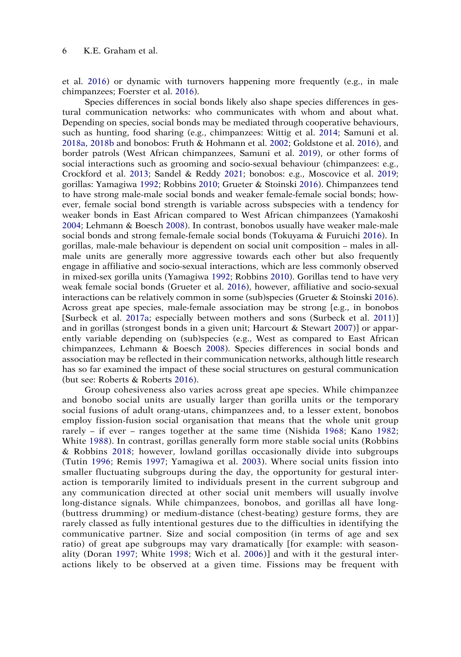et al. [2016\)](#page-17-5) or dynamic with turnovers happening more frequently (e.g., in male chimpanzees; Foerster et al. [2016\)](#page-17-5).

<span id="page-6-16"></span><span id="page-6-13"></span><span id="page-6-11"></span><span id="page-6-10"></span><span id="page-6-1"></span><span id="page-6-0"></span>Species differences in social bonds likely also shape species differences in gestural communication networks: who communicates with whom and about what. Depending on species, social bonds may be mediated through cooperative behaviours, such as hunting, food sharing (e.g., chimpanzees: Wittig et al. [2014;](#page-25-3) Samuni et al. [2018a](#page-22-6), [2018b](#page-23-8) and bonobos: Fruth & Hohmann et al. [2002;](#page-17-6) Goldstone et al. [2016](#page-18-6)), and border patrols (West African chimpanzees, Samuni et al. [2019\)](#page-22-7), or other forms of social interactions such as grooming and socio-sexual behaviour (chimpanzees: e.g., Crockford et al. [2013;](#page-16-4) Sandel & Reddy [2021](#page-23-9); bonobos: e.g., Moscovice et al. [2019](#page-20-4); gorillas: Yamagiwa [1992;](#page-25-4) Robbins [2010;](#page-22-8) Grueter & Stoinski [2016\)](#page-18-7). Chimpanzees tend to have strong male-male social bonds and weaker female-female social bonds; however, female social bond strength is variable across subspecies with a tendency for weaker bonds in East African compared to West African chimpanzees (Yamakoshi [2004;](#page-25-5) Lehmann & Boesch [2008\)](#page-20-5). In contrast, bonobos usually have weaker male-male social bonds and strong female-female social bonds (Tokuyama & Furuichi [2016\)](#page-24-8). In gorillas, male-male behaviour is dependent on social unit composition – males in allmale units are generally more aggressive towards each other but also frequently engage in affiliative and socio-sexual interactions, which are less commonly observed in mixed-sex gorilla units (Yamagiwa [1992](#page-25-4); Robbins [2010\)](#page-22-8). Gorillas tend to have very weak female social bonds (Grueter et al. [2016](#page-18-8)), however, affiliative and socio-sexual interactions can be relatively common in some (sub)species (Grueter & Stoinski [2016\)](#page-18-7). Across great ape species, male-female association may be strong {e.g., in bonobos [Surbeck et al. [2017a;](#page-23-10) especially between mothers and sons (Surbeck et al. [2011\)](#page-24-9)] and in gorillas (strongest bonds in a given unit; Harcourt & Stewart [2007\)](#page-18-9)} or apparently variable depending on (sub)species (e.g., West as compared to East African chimpanzees, Lehmann & Boesch [2008\)](#page-20-5). Species differences in social bonds and association may be reflected in their communication networks, although little research has so far examined the impact of these social structures on gestural communication (but see: Roberts & Roberts [2016\)](#page-22-9).

<span id="page-6-15"></span><span id="page-6-14"></span><span id="page-6-12"></span><span id="page-6-9"></span><span id="page-6-8"></span><span id="page-6-7"></span><span id="page-6-6"></span><span id="page-6-5"></span><span id="page-6-4"></span><span id="page-6-3"></span><span id="page-6-2"></span>Group cohesiveness also varies across great ape species. While chimpanzee and bonobo social units are usually larger than gorilla units or the temporary social fusions of adult orang-utans, chimpanzees and, to a lesser extent, bonobos employ fission-fusion social organisation that means that the whole unit group rarely – if ever – ranges together at the same time (Nishida [1968](#page-21-1); Kano [1982](#page-19-4); White [1988](#page-25-6)). In contrast, gorillas generally form more stable social units (Robbins & Robbins [2018;](#page-22-3) however, lowland gorillas occasionally divide into subgroups (Tutin [1996](#page-24-10); Remis [1997;](#page-22-10) Yamagiwa et al. [2003\)](#page-25-1). Where social units fission into smaller fluctuating subgroups during the day, the opportunity for gestural interaction is temporarily limited to individuals present in the current subgroup and any communication directed at other social unit members will usually involve long-distance signals. While chimpanzees, bonobos, and gorillas all have long- (buttress drumming) or medium-distance (chest-beating) gesture forms, they are rarely classed as fully intentional gestures due to the difficulties in identifying the communicative partner. Size and social composition (in terms of age and sex ratio) of great ape subgroups may vary dramatically [for example: with seasonality (Doran [1997;](#page-17-3) White [1998;](#page-25-7) Wich et al. [2006](#page-25-8))] and with it the gestural interactions likely to be observed at a given time. Fissions may be frequent with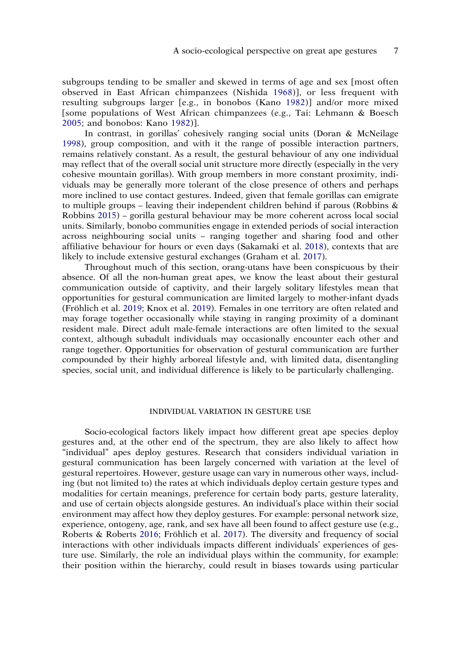subgroups tending to be smaller and skewed in terms of age and sex [most often observed in East African chimpanzees (Nishida [1968](#page-21-1))], or less frequent with resulting subgroups larger [e.g., in bonobos (Kano [1982\)](#page-19-4)] and/or more mixed [some populations of West African chimpanzees (e.g., Tai: Lehmann & Boesch [2005](#page-20-6); and bonobos: Kano [1982\)](#page-19-4)].

<span id="page-7-2"></span>In contrast, in gorillas' cohesively ranging social units (Doran & McNeilage [1998\)](#page-17-2), group composition, and with it the range of possible interaction partners, remains relatively constant. As a result, the gestural behaviour of any one individual may reflect that of the overall social unit structure more directly (especially in the very cohesive mountain gorillas). With group members in more constant proximity, individuals may be generally more tolerant of the close presence of others and perhaps more inclined to use contact gestures. Indeed, given that female gorillas can emigrate to multiple groups – leaving their independent children behind if parous (Robbins  $\&$ Robbins [2015\)](#page-22-11) – gorilla gestural behaviour may be more coherent across local social units. Similarly, bonobo communities engage in extended periods of social interaction across neighbouring social units – ranging together and sharing food and other affiliative behaviour for hours or even days (Sakamaki et al. [2018](#page-22-12)), contexts that are likely to include extensive gestural exchanges (Graham et al. [2017\)](#page-18-3).

<span id="page-7-4"></span><span id="page-7-3"></span><span id="page-7-0"></span>Throughout much of this section, orang-utans have been conspicuous by their absence. Of all the non-human great apes, we know the least about their gestural communication outside of captivity, and their largely solitary lifestyles mean that opportunities for gestural communication are limited largely to mother-infant dyads (Fröhlich et al. [2019;](#page-17-7) Knox et al. [2019\)](#page-19-1). Females in one territory are often related and may forage together occasionally while staying in ranging proximity of a dominant resident male. Direct adult male-female interactions are often limited to the sexual context, although subadult individuals may occasionally encounter each other and range together. Opportunities for observation of gestural communication are further compounded by their highly arboreal lifestyle and, with limited data, disentangling species, social unit, and individual difference is likely to be particularly challenging.

#### INDIVIDUAL VARIATION IN GESTURE USE

<span id="page-7-1"></span>Socio-ecological factors likely impact how different great ape species deploy gestures and, at the other end of the spectrum, they are also likely to affect how "individual" apes deploy gestures. Research that considers individual variation in gestural communication has been largely concerned with variation at the level of gestural repertoires. However, gesture usage can vary in numerous other ways, including (but not limited to) the rates at which individuals deploy certain gesture types and modalities for certain meanings, preference for certain body parts, gesture laterality, and use of certain objects alongside gestures. An individual's place within their social environment may affect how they deploy gestures. For example: personal network size, experience, ontogeny, age, rank, and sex have all been found to affect gesture use (e.g., Roberts & Roberts [2016;](#page-22-9) Fröhlich et al. [2017](#page-17-8)). The diversity and frequency of social interactions with other individuals impacts different individuals' experiences of gesture use. Similarly, the role an individual plays within the community, for example: their position within the hierarchy, could result in biases towards using particular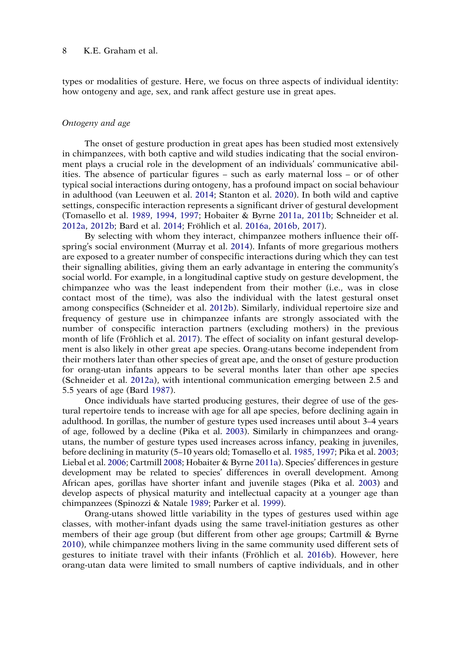types or modalities of gesture. Here, we focus on three aspects of individual identity: how ontogeny and age, sex, and rank affect gesture use in great apes.

#### *Ontogeny and age*

The onset of gesture production in great apes has been studied most extensively in chimpanzees, with both captive and wild studies indicating that the social environment plays a crucial role in the development of an individuals' communicative abilities. The absence of particular figures – such as early maternal loss – or of other typical social interactions during ontogeny, has a profound impact on social behaviour in adulthood (van Leeuwen et al. [2014;](#page-24-11) Stanton et al. [2020](#page-23-11)). In both wild and captive settings, conspecific interaction represents a significant driver of gestural development (Tomasello et al. [1989,](#page-24-1) [1994,](#page-24-2) [1997;](#page-24-3) Hobaiter & Byrne [2011a,](#page-18-2) [2011b](#page-18-10); Schneider et al. [2012a](#page-23-12), [2012b](#page-23-13); Bard et al. [2014;](#page-15-0) Fröhlich et al. [2016a](#page-17-9), [2016b](#page-17-10), [2017\)](#page-17-8).

<span id="page-8-11"></span><span id="page-8-9"></span><span id="page-8-6"></span><span id="page-8-5"></span><span id="page-8-1"></span>By selecting with whom they interact, chimpanzee mothers influence their offspring's social environment (Murray et al. [2014\)](#page-20-7). Infants of more gregarious mothers are exposed to a greater number of conspecific interactions during which they can test their signalling abilities, giving them an early advantage in entering the community's social world. For example, in a longitudinal captive study on gesture development, the chimpanzee who was the least independent from their mother (i.e., was in close contact most of the time), was also the individual with the latest gestural onset among conspecifics (Schneider et al. [2012b\)](#page-23-13). Similarly, individual repertoire size and frequency of gesture use in chimpanzee infants are strongly associated with the number of conspecific interaction partners (excluding mothers) in the previous month of life (Fröhlich et al. [2017\)](#page-17-8). The effect of sociality on infant gestural development is also likely in other great ape species. Orang-utans become independent from their mothers later than other species of great ape, and the onset of gesture production for orang-utan infants appears to be several months later than other ape species (Schneider et al. [2012a\)](#page-23-12), with intentional communication emerging between 2.5 and 5.5 years of age (Bard [1987](#page-15-1)).

<span id="page-8-8"></span><span id="page-8-0"></span>Once individuals have started producing gestures, their degree of use of the gestural repertoire tends to increase with age for all ape species, before declining again in adulthood. In gorillas, the number of gesture types used increases until about 3–4 years of age, followed by a decline (Pika et al. [2003](#page-21-7)). Similarly in chimpanzees and orangutans, the number of gesture types used increases across infancy, peaking in juveniles, before declining in maturity (5–10 years old; Tomasello et al. [1985,](#page-24-0) [1997](#page-24-3); Pika et al. [2003](#page-21-7); Liebal et al. [2006;](#page-20-8) Cartmill [2008;](#page-16-5) Hobaiter & Byrne [2011a\)](#page-18-2). Species' differences in gesture development may be related to species' differences in overall development. Among African apes, gorillas have shorter infant and juvenile stages (Pika et al. [2003](#page-21-7)) and develop aspects of physical maturity and intellectual capacity at a younger age than chimpanzees (Spinozzi & Natale [1989](#page-23-14); Parker et al. [1999](#page-21-3)).

<span id="page-8-10"></span><span id="page-8-7"></span><span id="page-8-4"></span><span id="page-8-3"></span><span id="page-8-2"></span>Orang-utans showed little variability in the types of gestures used within age classes, with mother-infant dyads using the same travel-initiation gestures as other members of their age group (but different from other age groups; Cartmill & Byrne [2010\)](#page-16-6), while chimpanzee mothers living in the same community used different sets of gestures to initiate travel with their infants (Fröhlich et al. [2016b](#page-17-10)). However, here orang-utan data were limited to small numbers of captive individuals, and in other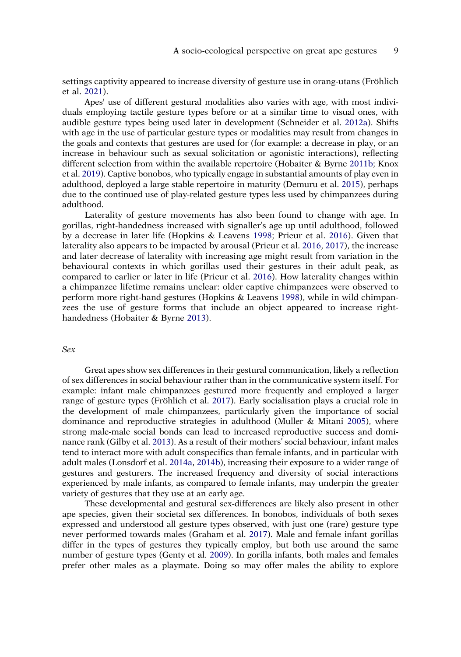settings captivity appeared to increase diversity of gesture use in orang-utans (Fröhlich et al. [2021](#page-17-4)).

Apes' use of different gestural modalities also varies with age, with most individuals employing tactile gesture types before or at a similar time to visual ones, with audible gesture types being used later in development (Schneider et al. [2012a\)](#page-23-12). Shifts with age in the use of particular gesture types or modalities may result from changes in the goals and contexts that gestures are used for (for example: a decrease in play, or an increase in behaviour such as sexual solicitation or agonistic interactions), reflecting different selection from within the available repertoire (Hobaiter & Byrne [2011b](#page-18-10); Knox et al. [2019](#page-19-1)). Captive bonobos, who typically engage in substantial amounts of play even in adulthood, deployed a large stable repertoire in maturity (Demuru et al. [2015](#page-17-11)), perhaps due to the continued use of play-related gesture types less used by chimpanzees during adulthood.

<span id="page-9-8"></span><span id="page-9-7"></span><span id="page-9-0"></span>Laterality of gesture movements has also been found to change with age. In gorillas, right-handedness increased with signaller's age up until adulthood, followed by a decrease in later life (Hopkins & Leavens [1998](#page-19-5); Prieur et al. [2016](#page-21-8)). Given that laterality also appears to be impacted by arousal (Prieur et al. [2016,](#page-21-8) [2017\)](#page-21-9), the increase and later decrease of laterality with increasing age might result from variation in the behavioural contexts in which gorillas used their gestures in their adult peak, as compared to earlier or later in life (Prieur et al. [2016\)](#page-21-8). How laterality changes within a chimpanzee lifetime remains unclear: older captive chimpanzees were observed to perform more right-hand gestures (Hopkins & Leavens [1998\)](#page-19-5), while in wild chimpanzees the use of gesture forms that include an object appeared to increase righthandedness (Hobaiter & Byrne [2013](#page-18-11)).

# <span id="page-9-4"></span><span id="page-9-3"></span>*Sex*

<span id="page-9-6"></span>Great apes show sex differences in their gestural communication, likely a reflection of sex differences in social behaviour rather than in the communicative system itself. For example: infant male chimpanzees gestured more frequently and employed a larger range of gesture types (Fröhlich et al. [2017\)](#page-17-8). Early socialisation plays a crucial role in the development of male chimpanzees, particularly given the importance of social dominance and reproductive strategies in adulthood (Muller & Mitani [2005\)](#page-20-9), where strong male-male social bonds can lead to increased reproductive success and dominance rank (Gilby et al. [2013\)](#page-18-12). As a result of their mothers' social behaviour, infant males tend to interact more with adult conspecifics than female infants, and in particular with adult males (Lonsdorf et al. [2014a,](#page-20-10) [2014b\)](#page-20-11), increasing their exposure to a wider range of gestures and gesturers. The increased frequency and diversity of social interactions experienced by male infants, as compared to female infants, may underpin the greater variety of gestures that they use at an early age.

<span id="page-9-5"></span><span id="page-9-2"></span><span id="page-9-1"></span>These developmental and gestural sex-differences are likely also present in other ape species, given their societal sex differences. In bonobos, individuals of both sexes expressed and understood all gesture types observed, with just one (rare) gesture type never performed towards males (Graham et al. [2017](#page-18-3)). Male and female infant gorillas differ in the types of gestures they typically employ, but both use around the same number of gesture types (Genty et al. [2009](#page-17-12)). In gorilla infants, both males and females prefer other males as a playmate. Doing so may offer males the ability to explore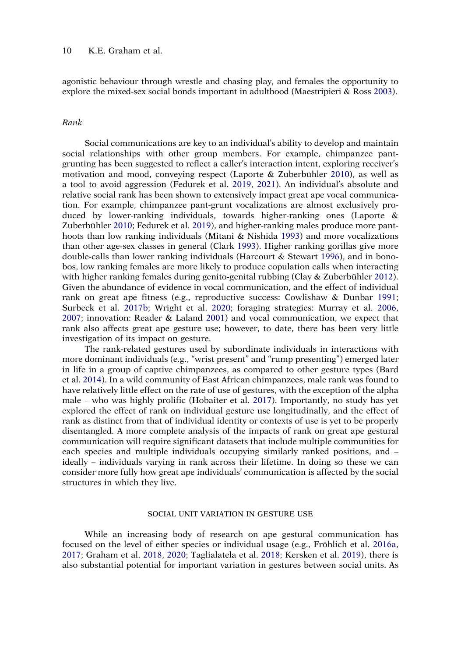<span id="page-10-8"></span>agonistic behaviour through wrestle and chasing play, and females the opportunity to explore the mixed-sex social bonds important in adulthood (Maestripieri & Ross [2003\)](#page-20-12).

# *Rank*

<span id="page-10-9"></span><span id="page-10-4"></span><span id="page-10-3"></span><span id="page-10-0"></span>Social communications are key to an individual's ability to develop and maintain social relationships with other group members. For example, chimpanzee pantgrunting has been suggested to reflect a caller's interaction intent, exploring receiver's motivation and mood, conveying respect (Laporte & Zuberbühler [2010](#page-19-6)), as well as a tool to avoid aggression (Fedurek et al. [2019,](#page-17-13) [2021](#page-17-14)). An individual's absolute and relative social rank has been shown to extensively impact great ape vocal communication. For example, chimpanzee pant-grunt vocalizations are almost exclusively produced by lower-ranking individuals, towards higher-ranking ones (Laporte & Zuberbühler [2010](#page-19-6); Fedurek et al. [2019\)](#page-17-13), and higher-ranking males produce more panthoots than low ranking individuals (Mitani & Nishida [1993\)](#page-20-13) and more vocalizations than other age-sex classes in general (Clark [1993\)](#page-16-7). Higher ranking gorillas give more double-calls than lower ranking individuals (Harcourt & Stewart [1996](#page-18-13)), and in bonobos, low ranking females are more likely to produce copulation calls when interacting with higher ranking females during genito-genital rubbing (Clay & Zuberbühler [2012\)](#page-16-8). Given the abundance of evidence in vocal communication, and the effect of individual rank on great ape fitness (e.g., reproductive success: Cowlishaw & Dunbar [1991](#page-16-9); Surbeck et al. [2017b](#page-24-12); Wright et al. [2020;](#page-25-9) foraging strategies: Murray et al. [2006](#page-20-14), [2007;](#page-21-10) innovation: Reader & Laland [2001\)](#page-22-13) and vocal communication, we expect that rank also affects great ape gesture use; however, to date, there has been very little investigation of its impact on gesture.

<span id="page-10-11"></span><span id="page-10-10"></span><span id="page-10-7"></span><span id="page-10-6"></span><span id="page-10-2"></span><span id="page-10-1"></span>The rank-related gestures used by subordinate individuals in interactions with more dominant individuals (e.g., "wrist present" and "rump presenting") emerged later in life in a group of captive chimpanzees, as compared to other gesture types (Bard et al. [2014\)](#page-15-0). In a wild community of East African chimpanzees, male rank was found to have relatively little effect on the rate of use of gestures, with the exception of the alpha male – who was highly prolific (Hobaiter et al. [2017\)](#page-18-14). Importantly, no study has yet explored the effect of rank on individual gesture use longitudinally, and the effect of rank as distinct from that of individual identity or contexts of use is yet to be properly disentangled. A more complete analysis of the impacts of rank on great ape gestural communication will require significant datasets that include multiple communities for each species and multiple individuals occupying similarly ranked positions, and – ideally – individuals varying in rank across their lifetime. In doing so these we can consider more fully how great ape individuals' communication is affected by the social structures in which they live.

#### SOCIAL UNIT VARIATION IN GESTURE USE

<span id="page-10-5"></span>While an increasing body of research on ape gestural communication has focused on the level of either species or individual usage (e.g., Fröhlich et al. [2016a](#page-17-9), [2017;](#page-17-8) Graham et al. [2018](#page-18-1), [2020;](#page-18-15) Taglialatela et al. [2018;](#page-24-13) Kersken et al. [2019](#page-19-7)), there is also substantial potential for important variation in gestures between social units. As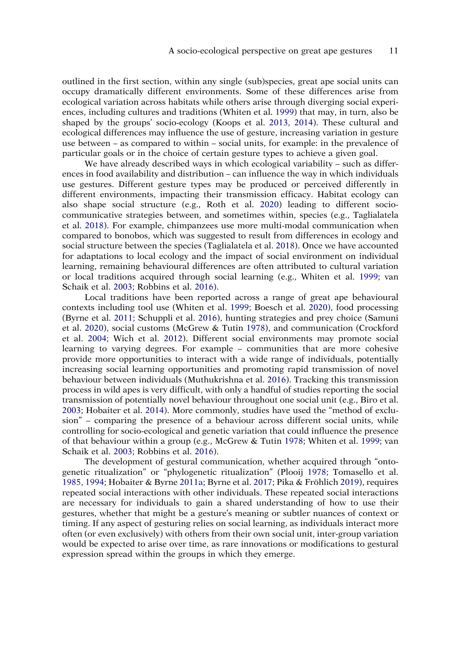<span id="page-11-5"></span>outlined in the first section, within any single (sub)species, great ape social units can occupy dramatically different environments. Some of these differences arise from ecological variation across habitats while others arise through diverging social experiences, including cultures and traditions (Whiten et al. [1999\)](#page-25-10) that may, in turn, also be shaped by the groups' socio-ecology (Koops et al. [2013](#page-19-8), [2014](#page-19-9)). These cultural and ecological differences may influence the use of gesture, increasing variation in gesture use between – as compared to within – social units, for example: in the prevalence of particular goals or in the choice of certain gesture types to achieve a given goal.

<span id="page-11-11"></span>We have already described ways in which ecological variability – such as differences in food availability and distribution – can influence the way in which individuals use gestures. Different gesture types may be produced or perceived differently in different environments, impacting their transmission efficacy. Habitat ecology can also shape social structure (e.g., Roth et al. [2020](#page-22-14)) leading to different sociocommunicative strategies between, and sometimes within, species (e.g., Taglialatela et al. [2018](#page-24-13)). For example, chimpanzees use more multi-modal communication when compared to bonobos, which was suggested to result from differences in ecology and social structure between the species (Taglialatela et al. [2018](#page-24-13)). Once we have accounted for adaptations to local ecology and the impact of social environment on individual learning, remaining behavioural differences are often attributed to cultural variation or local traditions acquired through social learning (e.g., Whiten et al. [1999;](#page-25-10) van Schaik et al. [2003;](#page-24-7) Robbins et al. [2016](#page-22-15)).

<span id="page-11-12"></span><span id="page-11-7"></span><span id="page-11-3"></span><span id="page-11-2"></span><span id="page-11-1"></span>Local traditions have been reported across a range of great ape behavioural contexts including tool use (Whiten et al. [1999;](#page-25-10) Boesch et al. [2020\)](#page-16-10), food processing (Byrne et al. [2011](#page-16-11); Schuppli et al. [2016](#page-23-15)), hunting strategies and prey choice (Samuni et al. [2020\)](#page-23-16), social customs (McGrew & Tutin [1978\)](#page-20-15), and communication (Crockford et al. [2004](#page-16-12); Wich et al. [2012](#page-25-11)). Different social environments may promote social learning to varying degrees. For example – communities that are more cohesive provide more opportunities to interact with a wide range of individuals, potentially increasing social learning opportunities and promoting rapid transmission of novel behaviour between individuals (Muthukrishna et al. [2016](#page-21-11)). Tracking this transmission process in wild apes is very difficult, with only a handful of studies reporting the social transmission of potentially novel behaviour throughout one social unit (e.g., Biro et al. [2003;](#page-15-2) Hobaiter et al. [2014\)](#page-18-16). More commonly, studies have used the "method of exclusion" – comparing the presence of a behaviour across different social units, while controlling for socio-ecological and genetic variation that could influence the presence of that behaviour within a group (e.g., McGrew & Tutin [1978](#page-20-15); Whiten et al. [1999](#page-25-10); van Schaik et al. [2003;](#page-24-7) Robbins et al. [2016](#page-22-15)).

<span id="page-11-10"></span><span id="page-11-9"></span><span id="page-11-8"></span><span id="page-11-6"></span><span id="page-11-4"></span><span id="page-11-0"></span>The development of gestural communication, whether acquired through "ontogenetic ritualization" or "phylogenetic ritualization" (Plooij [1978](#page-21-12); Tomasello et al. [1985,](#page-24-0) [1994](#page-24-2); Hobaiter & Byrne [2011a](#page-18-2); Byrne et al. [2017;](#page-16-0) Pika & Fröhlich [2019](#page-21-13)), requires repeated social interactions with other individuals. These repeated social interactions are necessary for individuals to gain a shared understanding of how to use their gestures, whether that might be a gesture's meaning or subtler nuances of context or timing. If any aspect of gesturing relies on social learning, as individuals interact more often (or even exclusively) with others from their own social unit, inter-group variation would be expected to arise over time, as rare innovations or modifications to gestural expression spread within the groups in which they emerge.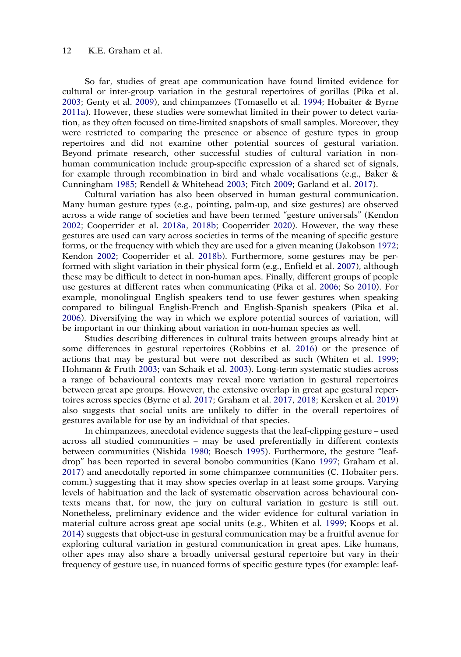So far, studies of great ape communication have found limited evidence for cultural or inter-group variation in the gestural repertoires of gorillas (Pika et al. [2003;](#page-21-7) Genty et al. [2009\)](#page-17-12), and chimpanzees (Tomasello et al. [1994;](#page-24-2) Hobaiter & Byrne [2011a](#page-18-2)). However, these studies were somewhat limited in their power to detect variation, as they often focused on time-limited snapshots of small samples. Moreover, they were restricted to comparing the presence or absence of gesture types in group repertoires and did not examine other potential sources of gestural variation. Beyond primate research, other successful studies of cultural variation in nonhuman communication include group-specific expression of a shared set of signals, for example through recombination in bird and whale vocalisations (e.g., Baker  $\&$ Cunningham [1985](#page-15-3); Rendell & Whitehead [2003;](#page-22-16) Fitch [2009](#page-17-15); Garland et al. [2017](#page-17-16)).

<span id="page-12-6"></span><span id="page-12-4"></span><span id="page-12-3"></span><span id="page-12-2"></span><span id="page-12-0"></span>Cultural variation has also been observed in human gestural communication. Many human gesture types (e.g., pointing, palm-up, and size gestures) are observed across a wide range of societies and have been termed "gesture universals" (Kendon [2002;](#page-19-10) Cooperrider et al. [2018a](#page-16-13), [2018b](#page-16-14); Cooperrider [2020\)](#page-16-15). However, the way these gestures are used can vary across societies in terms of the meaning of specific gesture forms, or the frequency with which they are used for a given meaning (Jakobson [1972](#page-19-11); Kendon [2002;](#page-19-10) Cooperrider et al. [2018b\)](#page-16-14). Furthermore, some gestures may be performed with slight variation in their physical form (e.g., Enfield et al. [2007\)](#page-17-17), although these may be difficult to detect in non-human apes. Finally, different groups of people use gestures at different rates when communicating (Pika et al. [2006](#page-21-14); So [2010\)](#page-23-17). For example, monolingual English speakers tend to use fewer gestures when speaking compared to bilingual English-French and English-Spanish speakers (Pika et al. [2006\)](#page-21-14). Diversifying the way in which we explore potential sources of variation, will be important in our thinking about variation in non-human species as well.

<span id="page-12-9"></span><span id="page-12-8"></span><span id="page-12-5"></span>Studies describing differences in cultural traits between groups already hint at some differences in gestural repertoires (Robbins et al. [2016\)](#page-22-15) or the presence of actions that may be gestural but were not described as such (Whiten et al. [1999](#page-25-10); Hohmann & Fruth [2003](#page-19-12); van Schaik et al. [2003\)](#page-24-7). Long-term systematic studies across a range of behavioural contexts may reveal more variation in gestural repertoires between great ape groups. However, the extensive overlap in great ape gestural repertoires across species (Byrne et al. [2017;](#page-16-0) Graham et al. [2017](#page-18-3), [2018](#page-18-1); Kersken et al. [2019](#page-19-7)) also suggests that social units are unlikely to differ in the overall repertoires of gestures available for use by an individual of that species.

<span id="page-12-7"></span><span id="page-12-1"></span>In chimpanzees, anecdotal evidence suggests that the leaf-clipping gesture – used across all studied communities – may be used preferentially in different contexts between communities (Nishida [1980](#page-21-15); Boesch [1995\)](#page-15-4). Furthermore, the gesture "leafdrop" has been reported in several bonobo communities (Kano [1997](#page-19-13); Graham et al. [2017\)](#page-18-3) and anecdotally reported in some chimpanzee communities (C. Hobaiter pers. comm.) suggesting that it may show species overlap in at least some groups. Varying levels of habituation and the lack of systematic observation across behavioural contexts means that, for now, the jury on cultural variation in gesture is still out. Nonetheless, preliminary evidence and the wider evidence for cultural variation in material culture across great ape social units (e.g., Whiten et al. [1999](#page-25-10); Koops et al. [2014\)](#page-19-9) suggests that object-use in gestural communication may be a fruitful avenue for exploring cultural variation in gestural communication in great apes. Like humans, other apes may also share a broadly universal gestural repertoire but vary in their frequency of gesture use, in nuanced forms of specific gesture types (for example: leaf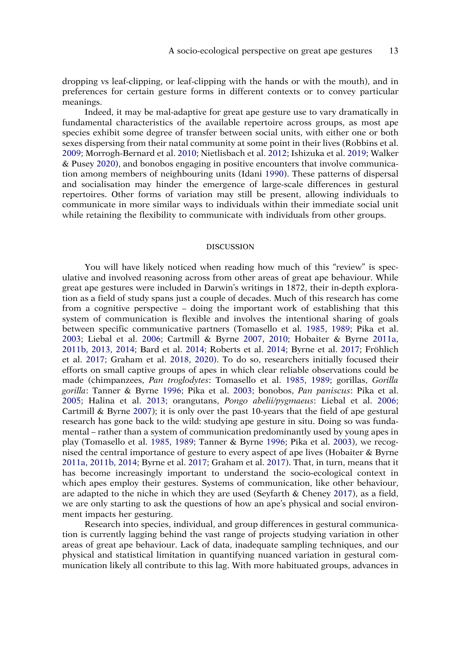dropping vs leaf-clipping, or leaf-clipping with the hands or with the mouth), and in preferences for certain gesture forms in different contexts or to convey particular meanings.

<span id="page-13-7"></span><span id="page-13-4"></span><span id="page-13-2"></span><span id="page-13-1"></span>Indeed, it may be mal-adaptive for great ape gesture use to vary dramatically in fundamental characteristics of the available repertoire across groups, as most ape species exhibit some degree of transfer between social units, with either one or both sexes dispersing from their natal community at some point in their lives (Robbins et al. [2009;](#page-22-17) Morrogh-Bernard et al. [2010](#page-20-16); Nietlisbach et al. [2012;](#page-21-16) Ishizuka et al. [2019;](#page-19-14) Walker & Pusey [2020](#page-24-14)), and bonobos engaging in positive encounters that involve communication among members of neighbouring units (Idani [1990\)](#page-19-15). These patterns of dispersal and socialisation may hinder the emergence of large-scale differences in gestural repertoires. Other forms of variation may still be present, allowing individuals to communicate in more similar ways to individuals within their immediate social unit while retaining the flexibility to communicate with individuals from other groups.

#### DISCUSSION

<span id="page-13-5"></span><span id="page-13-3"></span>You will have likely noticed when reading how much of this "review" is speculative and involved reasoning across from other areas of great ape behaviour. While great ape gestures were included in Darwin's writings in 1872, their in-depth exploration as a field of study spans just a couple of decades. Much of this research has come from a cognitive perspective – doing the important work of establishing that this system of communication is flexible and involves the intentional sharing of goals between specific communicative partners (Tomasello et al. [1985,](#page-24-0) [1989;](#page-24-1) Pika et al. [2003;](#page-21-7) Liebal et al. [2006](#page-20-8); Cartmill & Byrne [2007,](#page-16-3) [2010](#page-16-6); Hobaiter & Byrne [2011a](#page-18-2), [2011b,](#page-18-10) [2013,](#page-18-11) [2014](#page-18-0); Bard et al. [2014;](#page-15-0) Roberts et al. [2014;](#page-22-18) Byrne et al. [2017;](#page-16-0) Fröhlich et al. [2017](#page-17-8); Graham et al. [2018](#page-18-1), [2020\)](#page-18-15). To do so, researchers initially focused their efforts on small captive groups of apes in which clear reliable observations could be made (chimpanzees, *Pan troglodytes*: Tomasello et al. [1985,](#page-24-0) [1989](#page-24-1); gorillas, *Gorilla gorilla*: Tanner & Byrne [1996](#page-24-15); Pika et al. [2003;](#page-21-7) bonobos, *Pan paniscus*: Pika et al. [2005;](#page-21-17) Halina et al. [2013;](#page-18-17) orangutans, *Pongo abelii/pygmaeus*: Liebal et al. [2006](#page-20-8); Cartmill & Byrne [2007\)](#page-16-3); it is only over the past 10-years that the field of ape gestural research has gone back to the wild: studying ape gesture in situ. Doing so was fundamental – rather than a system of communication predominantly used by young apes in play (Tomasello et al. [1985](#page-24-0), [1989](#page-24-1); Tanner & Byrne [1996](#page-24-15); Pika et al. [2003\)](#page-21-7), we recognised the central importance of gesture to every aspect of ape lives (Hobaiter & Byrne [2011a](#page-18-2), [2011b,](#page-18-10) [2014;](#page-18-0) Byrne et al. [2017;](#page-16-0) Graham et al. [2017\)](#page-18-3). That, in turn, means that it has become increasingly important to understand the socio-ecological context in which apes employ their gestures. Systems of communication, like other behaviour, are adapted to the niche in which they are used (Seyfarth & Cheney [2017](#page-23-0)), as a field, we are only starting to ask the questions of how an ape's physical and social environment impacts her gesturing.

<span id="page-13-6"></span><span id="page-13-0"></span>Research into species, individual, and group differences in gestural communication is currently lagging behind the vast range of projects studying variation in other areas of great ape behaviour. Lack of data, inadequate sampling techniques, and our physical and statistical limitation in quantifying nuanced variation in gestural communication likely all contribute to this lag. With more habituated groups, advances in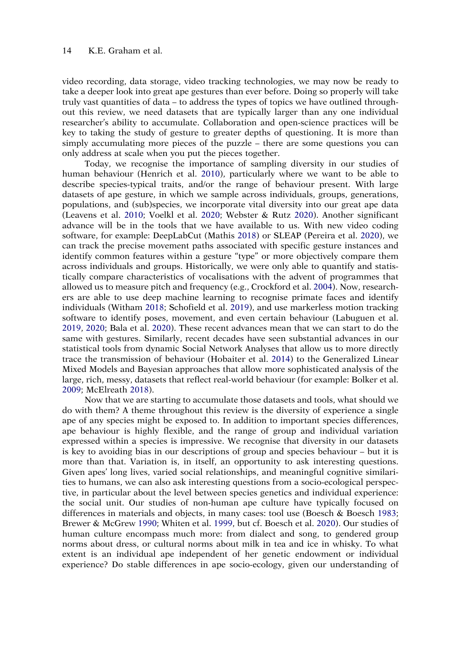video recording, data storage, video tracking technologies, we may now be ready to take a deeper look into great ape gestures than ever before. Doing so properly will take truly vast quantities of data – to address the types of topics we have outlined throughout this review, we need datasets that are typically larger than any one individual researcher's ability to accumulate. Collaboration and open-science practices will be key to taking the study of gesture to greater depths of questioning. It is more than simply accumulating more pieces of the puzzle – there are some questions you can only address at scale when you put the pieces together.

<span id="page-14-7"></span><span id="page-14-6"></span><span id="page-14-4"></span>Today, we recognise the importance of sampling diversity in our studies of human behaviour (Henrich et al. [2010](#page-18-18)), particularly where we want to be able to describe species-typical traits, and/or the range of behaviour present. With large datasets of ape gesture, in which we sample across individuals, groups, generations, populations, and (sub)species, we incorporate vital diversity into our great ape data (Leavens et al. [2010](#page-19-16); Voelkl et al. [2020](#page-24-16); Webster & Rutz [2020](#page-24-17)). Another significant advance will be in the tools that we have available to us. With new video coding software, for example: DeepLabCut (Mathis [2018](#page-20-17)) or SLEAP (Pereira et al. [2020\)](#page-21-18), we can track the precise movement paths associated with specific gesture instances and identify common features within a gesture "type" or more objectively compare them across individuals and groups. Historically, we were only able to quantify and statistically compare characteristics of vocalisations with the advent of programmes that allowed us to measure pitch and frequency (e.g., Crockford et al. [2004\)](#page-16-12). Now, researchers are able to use deep machine learning to recognise primate faces and identify individuals (Witham [2018;](#page-25-12) Schofield et al. [2019\)](#page-23-18), and use markerless motion tracking software to identify poses, movement, and even certain behaviour (Labuguen et al. [2019,](#page-19-17) [2020](#page-19-18); Bala et al. [2020\)](#page-15-5). These recent advances mean that we can start to do the same with gestures. Similarly, recent decades have seen substantial advances in our statistical tools from dynamic Social Network Analyses that allow us to more directly trace the transmission of behaviour (Hobaiter et al. [2014\)](#page-18-16) to the Generalized Linear Mixed Models and Bayesian approaches that allow more sophisticated analysis of the large, rich, messy, datasets that reflect real-world behaviour (for example: Bolker et al. [2009;](#page-16-16) McElreath [2018](#page-20-18)).

<span id="page-14-9"></span><span id="page-14-8"></span><span id="page-14-5"></span><span id="page-14-3"></span><span id="page-14-2"></span><span id="page-14-1"></span><span id="page-14-0"></span>Now that we are starting to accumulate those datasets and tools, what should we do with them? A theme throughout this review is the diversity of experience a single ape of any species might be exposed to. In addition to important species differences, ape behaviour is highly flexible, and the range of group and individual variation expressed within a species is impressive. We recognise that diversity in our datasets is key to avoiding bias in our descriptions of group and species behaviour – but it is more than that. Variation is, in itself, an opportunity to ask interesting questions. Given apes' long lives, varied social relationships, and meaningful cognitive similarities to humans, we can also ask interesting questions from a socio-ecological perspective, in particular about the level between species genetics and individual experience: the social unit. Our studies of non-human ape culture have typically focused on differences in materials and objects, in many cases: tool use (Boesch & Boesch [1983](#page-16-17); Brewer & McGrew [1990;](#page-16-18) Whiten et al. [1999,](#page-25-10) but cf. Boesch et al. [2020\)](#page-16-10). Our studies of human culture encompass much more: from dialect and song, to gendered group norms about dress, or cultural norms about milk in tea and ice in whisky. To what extent is an individual ape independent of her genetic endowment or individual experience? Do stable differences in ape socio-ecology, given our understanding of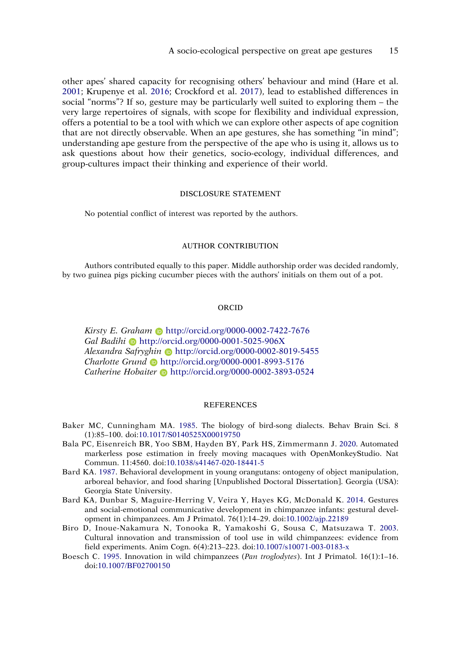<span id="page-15-7"></span><span id="page-15-6"></span>other apes' shared capacity for recognising others' behaviour and mind (Hare et al. [2001;](#page-18-19) Krupenye et al. [2016](#page-19-19); Crockford et al. [2017](#page-16-19)), lead to established differences in social "norms"? If so, gesture may be particularly well suited to exploring them – the very large repertoires of signals, with scope for flexibility and individual expression, offers a potential to be a tool with which we can explore other aspects of ape cognition that are not directly observable. When an ape gestures, she has something "in mind"; understanding ape gesture from the perspective of the ape who is using it, allows us to ask questions about how their genetics, socio-ecology, individual differences, and group-cultures impact their thinking and experience of their world.

#### DISCLOSURE STATEMENT

No potential conflict of interest was reported by the authors.

#### AUTHOR CONTRIBUTION

Authors contributed equally to this paper. Middle authorship order was decided randomly, by two guinea pigs picking cucumber pieces with the authors' initials on them out of a pot.

#### ORCID

*Kirsty E. Graham* http://orcid.org/0000-0002-7422-7676 *Gal Badihi* http://orcid.org/0000-0001-5025-906X *Alexandra Safryghin* http://orcid.org/0000-0002-8019-5455 *Charlotte Grund* http://orcid.org/0000-0001-8993-5176 *Catherine Hobaiter* http://orcid.org/0000-0002-3893-0524

#### REFERENCES

- <span id="page-15-3"></span>Baker MC, Cunningham MA. [1985](#page-12-0). The biology of bird-song dialects. Behav Brain Sci. 8 (1):85–100. doi:[10.1017/S0140525X00019750](https://doi.org/10.1017/S0140525X00019750)
- <span id="page-15-5"></span>Bala PC, Eisenreich BR, Yoo SBM, Hayden BY, Park HS, Zimmermann J. [2020](#page-14-0). Automated markerless pose estimation in freely moving macaques with OpenMonkeyStudio. Nat Commun. 11:4560. doi:[10.1038/s41467-020-18441-5](https://doi.org/10.1038/s41467-020-18441-5)
- <span id="page-15-1"></span>Bard KA. [1987.](#page-8-0) Behavioral development in young orangutans: ontogeny of object manipulation, arboreal behavior, and food sharing [Unpublished Doctoral Dissertation]. Georgia (USA): Georgia State University.
- <span id="page-15-0"></span>Bard KA, Dunbar S, Maguire-Herring V, Veira Y, Hayes KG, McDonald K. [2014.](#page-8-1) Gestures and social-emotional communicative development in chimpanzee infants: gestural development in chimpanzees. Am J Primatol. 76(1):14–29. doi:[10.1002/ajp.22189](https://doi.org/10.1002/ajp.22189)
- <span id="page-15-2"></span>Biro D, Inoue-Nakamura N, Tonooka R, Yamakoshi G, Sousa C, Matsuzawa T. [2003](#page-11-0). Cultural innovation and transmission of tool use in wild chimpanzees: evidence from field experiments. Anim Cogn. 6(4):213–223. doi:[10.1007/s10071-003-0183-x](https://doi.org/10.1007/s10071-003-0183-x)
- <span id="page-15-4"></span>Boesch C. [1995](#page-12-1). Innovation in wild chimpanzees (*Pan troglodytes*). Int J Primatol. 16(1):1–16. doi:[10.1007/BF02700150](https://doi.org/10.1007/BF02700150)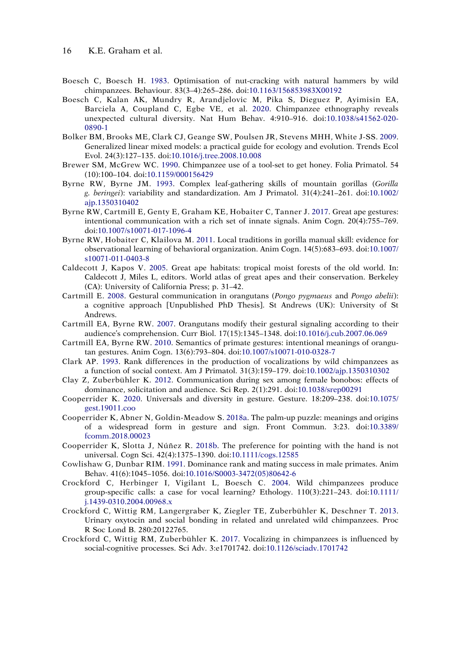- <span id="page-16-17"></span>Boesch C, Boesch H. [1983.](#page-14-1) Optimisation of nut-cracking with natural hammers by wild chimpanzees. Behaviour. 83(3–4):265–286. doi:[10.1163/156853983X00192](https://doi.org/10.1163/156853983X00192)
- <span id="page-16-10"></span>Boesch C, Kalan AK, Mundry R, Arandjelovic M, Pika S, Dieguez P, Ayimisin EA, Barciela A, Coupland C, Egbe VE, et al. [2020](#page-11-1). Chimpanzee ethnography reveals unexpected cultural diversity. Nat Hum Behav. 4:910–916. doi:[10.1038/s41562-020-](https://doi.org/10.1038/s41562-020-0890-1)  [0890-1](https://doi.org/10.1038/s41562-020-0890-1)
- <span id="page-16-16"></span>Bolker BM, Brooks ME, Clark CJ, Geange SW, Poulsen JR, Stevens MHH, White J-SS. [2009](#page-14-2). Generalized linear mixed models: a practical guide for ecology and evolution. Trends Ecol Evol. 24(3):127–135. doi:[10.1016/j.tree.2008.10.008](https://doi.org/10.1016/j.tree.2008.10.008)
- <span id="page-16-18"></span>Brewer SM, McGrew WC. [1990.](#page-14-3) Chimpanzee use of a tool-set to get honey. Folia Primatol. 54 (10):100–104. doi:[10.1159/000156429](https://doi.org/10.1159/000156429)
- <span id="page-16-2"></span>Byrne RW, Byrne JM. [1993.](#page-4-0) Complex leaf-gathering skills of mountain gorillas (*Gorilla g. beringei*): variability and standardization. Am J Primatol. 31(4):241–261. doi:[10.1002/](https://doi.org/10.1002/ajp.1350310402)  [ajp.1350310402](https://doi.org/10.1002/ajp.1350310402)
- <span id="page-16-0"></span>Byrne RW, Cartmill E, Genty E, Graham KE, Hobaiter C, Tanner J. [2017.](#page-2-0) Great ape gestures: intentional communication with a rich set of innate signals. Anim Cogn. 20(4):755–769. doi:[10.1007/s10071-017-1096-4](https://doi.org/10.1007/s10071-017-1096-4)
- <span id="page-16-11"></span>Byrne RW, Hobaiter C, Klailova M. [2011](#page-11-2). Local traditions in gorilla manual skill: evidence for observational learning of behavioral organization. Anim Cogn. 14(5):683–693. doi:[10.1007/](https://doi.org/10.1007/s10071-011-0403-8)  [s10071-011-0403-8](https://doi.org/10.1007/s10071-011-0403-8)
- <span id="page-16-1"></span>Caldecott J, Kapos V. [2005.](#page-2-1) Great ape habitats: tropical moist forests of the old world. In: Caldecott J, Miles L, editors. World atlas of great apes and their conservation. Berkeley (CA): University of California Press; p. 31–42.
- <span id="page-16-5"></span>Cartmill E. [2008.](#page-8-2) Gestural communication in orangutans (*Pongo pygmaeus* and *Pongo abelii*): a cognitive approach [Unpublished PhD Thesis]. St Andrews (UK): University of St Andrews.
- <span id="page-16-3"></span>Cartmill EA, Byrne RW. [2007.](#page-4-1) Orangutans modify their gestural signaling according to their audience's comprehension. Curr Biol. 17(15):1345–1348. doi:[10.1016/j.cub.2007.06.069](https://doi.org/10.1016/j.cub.2007.06.069)
- <span id="page-16-6"></span>Cartmill EA, Byrne RW. [2010](#page-8-3). Semantics of primate gestures: intentional meanings of orangutan gestures. Anim Cogn. 13(6):793–804. doi:[10.1007/s10071-010-0328-7](https://doi.org/10.1007/s10071-010-0328-7)
- <span id="page-16-7"></span>Clark AP. [1993.](#page-10-0) Rank differences in the production of vocalizations by wild chimpanzees as a function of social context. Am J Primatol. 31(3):159–179. doi:[10.1002/ajp.1350310302](https://doi.org/10.1002/ajp.1350310302)
- <span id="page-16-8"></span>Clay Z, Zuberbühler K. [2012](#page-10-1). Communication during sex among female bonobos: effects of dominance, solicitation and audience. Sci Rep. 2(1):291. doi:[10.1038/srep00291](https://doi.org/10.1038/srep00291)
- <span id="page-16-15"></span>Cooperrider K. [2020](#page-12-2). Universals and diversity in gesture. Gesture. 18:209–238. doi:[10.1075/](https://doi.org/10.1075/gest.19011.coo)  [gest.19011.coo](https://doi.org/10.1075/gest.19011.coo)
- <span id="page-16-13"></span>Cooperrider K, Abner N, Goldin-Meadow S. [2018a](#page-12-2). The palm-up puzzle: meanings and origins of a widespread form in gesture and sign. Front Commun. 3:23. doi:[10.3389/](https://doi.org/10.3389/fcomm.2018.00023)  [fcomm.2018.00023](https://doi.org/10.3389/fcomm.2018.00023)
- <span id="page-16-14"></span>Cooperrider K, Slotta J, Núñez R. [2018b](#page-12-3). The preference for pointing with the hand is not universal. Cogn Sci. 42(4):1375–1390. doi:[10.1111/cogs.12585](https://doi.org/10.1111/cogs.12585)
- <span id="page-16-9"></span>Cowlishaw G, Dunbar RIM. [1991](#page-10-2). Dominance rank and mating success in male primates. Anim Behav. 41(6):1045–1056. doi:[10.1016/S0003-3472\(05\)80642-6](https://doi.org/10.1016/S0003-3472(05)80642-6)
- <span id="page-16-12"></span>Crockford C, Herbinger I, Vigilant L, Boesch C. [2004.](#page-11-3) Wild chimpanzees produce group-specific calls: a case for vocal learning? Ethology. 110(3):221–243. doi:[10.1111/](https://doi.org/10.1111/j.1439-0310.2004.00968.x)  [j.1439-0310.2004.00968.x](https://doi.org/10.1111/j.1439-0310.2004.00968.x)
- <span id="page-16-4"></span>Crockford C, Wittig RM, Langergraber K, Ziegler TE, Zuberbühler K, Deschner T. [2013](#page-6-0). Urinary oxytocin and social bonding in related and unrelated wild chimpanzees. Proc R Soc Lond B. 280:20122765.
- <span id="page-16-19"></span>Crockford C, Wittig RM, Zuberbühler K. [2017.](#page-15-6) Vocalizing in chimpanzees is influenced by social-cognitive processes. Sci Adv. 3:e1701742. doi:[10.1126/sciadv.1701742](https://doi.org/10.1126/sciadv.1701742)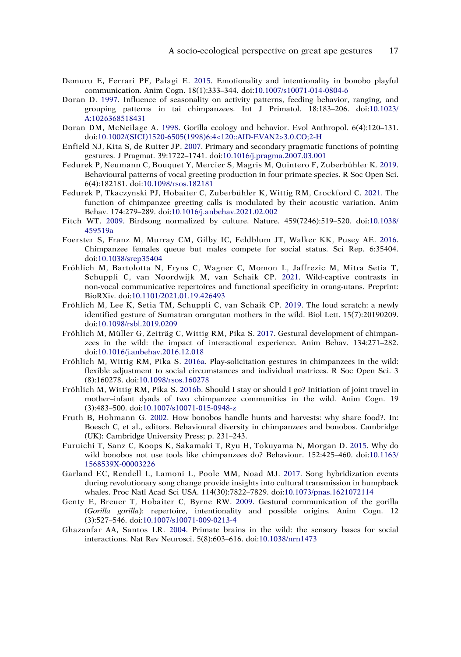- <span id="page-17-11"></span>Demuru E, Ferrari PF, Palagi E. [2015](#page-9-0). Emotionality and intentionality in bonobo playful communication. Anim Cogn. 18(1):333–344. doi:[10.1007/s10071-014-0804-6](https://doi.org/10.1007/s10071-014-0804-6)
- <span id="page-17-3"></span>Doran D. [1997.](#page-4-2) Influence of seasonality on activity patterns, feeding behavior, ranging, and grouping patterns in tai chimpanzees. Int J Primatol. 18:183–206. doi:[10.1023/](https://doi.org/10.1023/A:1026368518431)  [A:1026368518431](https://doi.org/10.1023/A:1026368518431)
- <span id="page-17-2"></span>Doran DM, McNeilage A. [1998.](#page-4-3) Gorilla ecology and behavior. Evol Anthropol. 6(4):120–131. doi:[10.1002/\(SICI\)1520-6505\(1998\)6:4<120::AID-EVAN2>3.0.CO;2-H](https://doi.org/10.1002/(SICI)1520-6505(1998)6:4%3C120::AID-EVAN2%3E3.0.CO;2-H)
- <span id="page-17-17"></span>Enfield NJ, Kita S, de Ruiter JP. [2007](#page-12-4). Primary and secondary pragmatic functions of pointing gestures. J Pragmat. 39:1722–1741. doi:[10.1016/j.pragma.2007.03.001](https://doi.org/10.1016/j.pragma.2007.03.001)
- <span id="page-17-13"></span>Fedurek P, Neumann C, Bouquet Y, Mercier S, Magris M, Quintero F, Zuberbühler K. [2019](#page-10-3). Behavioural patterns of vocal greeting production in four primate species. R Soc Open Sci. 6(4):182181. doi:[10.1098/rsos.182181](https://doi.org/10.1098/rsos.182181)
- <span id="page-17-14"></span>Fedurek P, Tkaczynski PJ, Hobaiter C, Zuberbühler K, Wittig RM, Crockford C. [2021.](#page-10-4) The function of chimpanzee greeting calls is modulated by their acoustic variation. Anim Behav. 174:279–289. doi:[10.1016/j.anbehav.2021.02.002](https://doi.org/10.1016/j.anbehav.2021.02.002)
- <span id="page-17-15"></span>Fitch WT. [2009](#page-12-0). Birdsong normalized by culture. Nature. 459(7246):519–520. doi:[10.1038/](https://doi.org/10.1038/459519a)  [459519a](https://doi.org/10.1038/459519a)
- <span id="page-17-5"></span>Foerster S, Franz M, Murray CM, Gilby IC, Feldblum JT, Walker KK, Pusey AE. [2016](#page-5-0). Chimpanzee females queue but males compete for social status. Sci Rep. 6:35404. doi:[10.1038/srep35404](https://doi.org/10.1038/srep35404)
- <span id="page-17-4"></span>Fröhlich M, Bartolotta N, Fryns C, Wagner C, Momon L, Jaffrezic M, Mitra Setia T, Schuppli C, van Noordwijk M, van Schaik CP. [2021.](#page-5-1) Wild-captive contrasts in non-vocal communicative repertoires and functional specificity in orang-utans. Preprint: BioRXiv. doi:[10.1101/2021.01.19.426493](https://doi.org/10.1101/2021.01.19.426493)
- <span id="page-17-7"></span>Fröhlich M, Lee K, Setia TM, Schuppli C, van Schaik CP. [2019.](#page-7-0) The loud scratch: a newly identified gesture of Sumatran orangutan mothers in the wild. Biol Lett. 15(7):20190209. doi:[10.1098/rsbl.2019.0209](https://doi.org/10.1098/rsbl.2019.0209)
- <span id="page-17-8"></span>Fröhlich M, Müller G, Zeiträg C, Wittig RM, Pika S. [2017.](#page-7-1) Gestural development of chimpanzees in the wild: the impact of interactional experience. Anim Behav. 134:271–282. doi:[10.1016/j.anbehav.2016.12.018](https://doi.org/10.1016/j.anbehav.2016.12.018)
- <span id="page-17-9"></span>Fröhlich M, Wittig RM, Pika S. [2016a](#page-8-1). Play-solicitation gestures in chimpanzees in the wild: flexible adjustment to social circumstances and individual matrices. R Soc Open Sci. 3 (8):160278. doi:[10.1098/rsos.160278](https://doi.org/10.1098/rsos.160278)
- <span id="page-17-10"></span>Fröhlich M, Wittig RM, Pika S. [2016b](#page-8-4). Should I stay or should I go? Initiation of joint travel in mother–infant dyads of two chimpanzee communities in the wild. Anim Cogn. 19 (3):483–500. doi:[10.1007/s10071-015-0948-z](https://doi.org/10.1007/s10071-015-0948-z)
- <span id="page-17-6"></span>Fruth B, Hohmann G. [2002.](#page-6-1) How bonobos handle hunts and harvests: why share food?. In: Boesch C, et al., editors. Behavioural diversity in chimpanzees and bonobos. Cambridge (UK): Cambridge University Press; p. 231–243.
- <span id="page-17-1"></span>Furuichi T, Sanz C, Koops K, Sakamaki T, Ryu H, Tokuyama N, Morgan D. [2015](#page-4-4). Why do wild bonobos not use tools like chimpanzees do? Behaviour. 152:425–460. doi:[10.1163/](https://doi.org/10.1163/1568539X-00003226)  [1568539X-00003226](https://doi.org/10.1163/1568539X-00003226)
- <span id="page-17-16"></span>Garland EC, Rendell L, Lamoni L, Poole MM, Noad MJ. [2017](#page-12-0). Song hybridization events during revolutionary song change provide insights into cultural transmission in humpback whales. Proc Natl Acad Sci USA. 114(30):7822–7829. doi:[10.1073/pnas.1621072114](https://doi.org/10.1073/pnas.1621072114)
- <span id="page-17-12"></span>Genty E, Breuer T, Hobaiter C, Byrne RW. [2009](#page-9-1). Gestural communication of the gorilla (*Gorilla gorilla*): repertoire, intentionality and possible origins. Anim Cogn. 12 (3):527–546. doi:[10.1007/s10071-009-0213-4](https://doi.org/10.1007/s10071-009-0213-4)
- <span id="page-17-0"></span>Ghazanfar AA, Santos LR. [2004.](#page-3-0) Primate brains in the wild: the sensory bases for social interactions. Nat Rev Neurosci. 5(8):603–616. doi:[10.1038/nrn1473](https://doi.org/10.1038/nrn1473)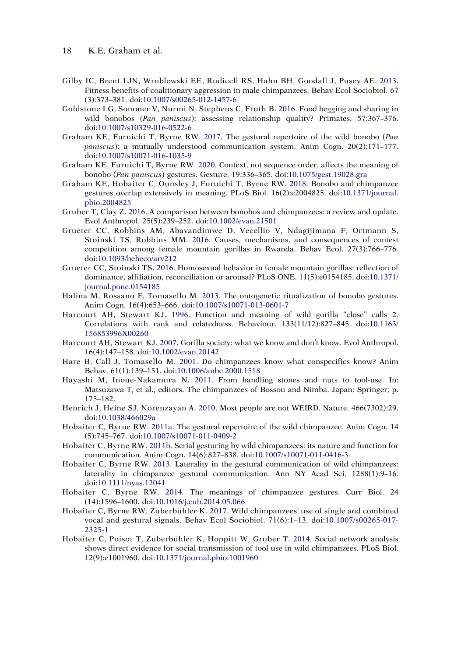- <span id="page-18-12"></span>Gilby IC, Brent LJN, Wroblewski EE, Rudicell RS, Hahn BH, Goodall J, Pusey AE. [2013](#page-9-2). Fitness benefits of coalitionary aggression in male chimpanzees. Behav Ecol Sociobiol. 67 (3):373–381. doi:[10.1007/s00265-012-1457-6](https://doi.org/10.1007/s00265-012-1457-6)
- <span id="page-18-6"></span>Goldstone LG, Sommer V, Nurmi N, Stephens C, Fruth B. [2016.](#page-6-1) Food begging and sharing in wild bonobos (*Pan paniscus*): assessing relationship quality? Primates. 57:367–376. doi:[10.1007/s10329-016-0522-6](https://doi.org/10.1007/s10329-016-0522-6)
- <span id="page-18-3"></span>Graham KE, Furuichi T, Byrne RW. [2017](#page-3-1). The gestural repertoire of the wild bonobo (*Pan paniscus*): a mutually understood communication system. Anim Cogn. 20(2):171–177. doi:[10.1007/s10071-016-1035-9](https://doi.org/10.1007/s10071-016-1035-9)
- <span id="page-18-15"></span>Graham KE, Furuichi T, Byrne RW. [2020](#page-10-5). Context, not sequence order, affects the meaning of bonobo (*Pan paniscus*) gestures. Gesture. 19:336–365. doi:[10.1075/gest.19028.gra](https://doi.org/10.1075/gest.19028.gra)
- <span id="page-18-1"></span>Graham KE, Hobaiter C, Ounsley J, Furuichi T, Byrne RW. [2018.](#page-2-2) Bonobo and chimpanzee gestures overlap extensively in meaning. PLoS Biol. 16(2):e2004825. doi:[10.1371/journal.](https://doi.org/10.1371/journal.pbio.2004825)  [pbio.2004825](https://doi.org/10.1371/journal.pbio.2004825)
- <span id="page-18-5"></span>Gruber T, Clay Z. [2016](#page-5-2). A comparison between bonobos and chimpanzees: a review and update. Evol Anthropol. 25(5):239–252. doi:[10.1002/evan.21501](https://doi.org/10.1002/evan.21501)
- <span id="page-18-8"></span>Grueter CC, Robbins AM, Abavandimwe D, Vecellio V, Ndagijimana F, Ortmann S, Stoinski TS, Robbins MM. [2016](#page-6-2). Causes, mechanisms, and consequences of contest competition among female mountain gorillas in Rwanda. Behav Ecol. 27(3):766–776. doi:[10.1093/beheco/arv212](https://doi.org/10.1093/beheco/arv212)
- <span id="page-18-7"></span>Grueter CC, Stoinski TS. [2016](#page-6-3). Homosexual behavior in female mountain gorillas: reflection of dominance, affiliation, reconciliation or arousal? PLoS ONE. 11(5):e0154185. doi:[10.1371/](https://doi.org/10.1371/journal.pone.0154185)  [journal.pone.0154185](https://doi.org/10.1371/journal.pone.0154185)
- <span id="page-18-17"></span>Halina M, Rossano F, Tomasello M. [2013](#page-13-0). The ontogenetic ritualization of bonobo gestures. Anim Cogn. 16(4):653–666. doi:[10.1007/s10071-013-0601-7](https://doi.org/10.1007/s10071-013-0601-7)
- <span id="page-18-13"></span>Harcourt AH, Stewart KJ. [1996](#page-10-6). Function and meaning of wild gorilla "close" calls 2. Correlations with rank and relatedness. Behaviour. 133(11/12):827–845. doi:[10.1163/](https://doi.org/10.1163/156853996X00260)  [156853996X00260](https://doi.org/10.1163/156853996X00260)
- <span id="page-18-9"></span>Harcourt AH, Stewart KJ. [2007.](#page-6-4) Gorilla society: what we know and don't know. Evol Anthropol. 16(4):147–158. doi:[10.1002/evan.20142](https://doi.org/10.1002/evan.20142)
- <span id="page-18-19"></span>Hare B, Call J, Tomasello M. [2001](#page-15-7). Do chimpanzees know what conspecifics know? Anim Behav. 61(1):139–151. doi:[10.1006/anbe.2000.1518](https://doi.org/10.1006/anbe.2000.1518)
- <span id="page-18-4"></span>Hayashi M, Inoue-Nakamura N. [2011](#page-5-3). From handling stones and nuts to tool-use. In: Matsuzawa T, et al., editors. The chimpanzees of Bossou and Nimba. Japan: Springer; p. 175–182.
- <span id="page-18-18"></span>Henrich J, Heine SJ, Norenzayan A. [2010](#page-14-4). Most people are not WEIRD. Nature. 466(7302):29. doi:[10.1038/466029a](https://doi.org/10.1038/466029a)
- <span id="page-18-2"></span>Hobaiter C, Byrne RW. [2011a](#page-3-1). The gestural repertoire of the wild chimpanzee. Anim Cogn. 14 (5):745–767. doi:[10.1007/s10071-011-0409-2](https://doi.org/10.1007/s10071-011-0409-2)
- <span id="page-18-10"></span>Hobaiter C, Byrne RW. [2011b](#page-8-5). Serial gesturing by wild chimpanzees: its nature and function for communication. Anim Cogn. 14(6):827–838. doi:[10.1007/s10071-011-0416-3](https://doi.org/10.1007/s10071-011-0416-3)
- <span id="page-18-11"></span>Hobaiter C, Byrne RW. [2013.](#page-9-3) Laterality in the gestural communication of wild chimpanzees: laterality in chimpanzee gestural communication. Ann NY Acad Sci. 1288(1):9–16. doi:[10.1111/nyas.12041](https://doi.org/10.1111/nyas.12041)
- <span id="page-18-0"></span>Hobaiter C, Byrne RW. [2014.](#page-2-2) The meanings of chimpanzee gestures. Curr Biol. 24 (14):1596–1600. doi:[10.1016/j.cub.2014.05.066](https://doi.org/10.1016/j.cub.2014.05.066)
- <span id="page-18-14"></span>Hobaiter C, Byrne RW, Zuberbühler K. [2017.](#page-10-7) Wild chimpanzees' use of single and combined vocal and gestural signals. Behav Ecol Sociobiol. 71(6):1–13. doi:[10.1007/s00265-017-](https://doi.org/10.1007/s00265-017-2325-1)  [2325-1](https://doi.org/10.1007/s00265-017-2325-1)
- <span id="page-18-16"></span>Hobaiter C, Poisot T, Zuberbühler K, Hoppitt W, Gruber T. [2014.](#page-11-4) Social network analysis shows direct evidence for social transmission of tool use in wild chimpanzees. PLoS Biol. 12(9):e1001960. doi:[10.1371/journal.pbio.1001960](https://doi.org/10.1371/journal.pbio.1001960)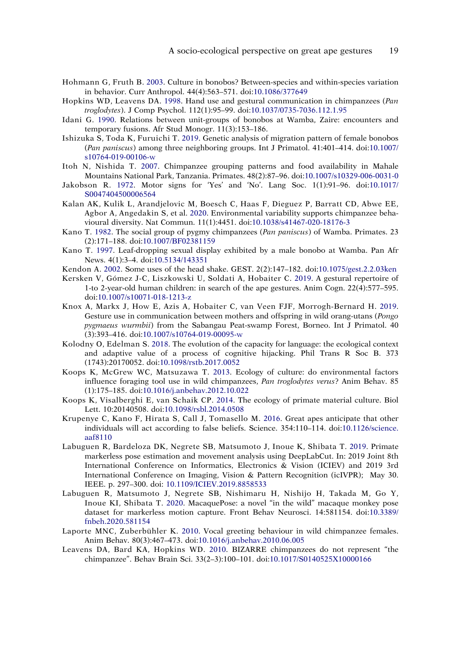- <span id="page-19-12"></span>Hohmann G, Fruth B. [2003.](#page-12-5) Culture in bonobos? Between-species and within-species variation in behavior. Curr Anthropol. 44(4):563–571. doi:[10.1086/377649](https://doi.org/10.1086/377649)
- <span id="page-19-5"></span>Hopkins WD, Leavens DA. [1998](#page-9-4). Hand use and gestural communication in chimpanzees (*Pan troglodytes*). J Comp Psychol. 112(1):95–99. doi:[10.1037/0735-7036.112.1.95](https://doi.org/10.1037/0735-7036.112.1.95)
- <span id="page-19-15"></span>Idani G. [1990](#page-13-1). Relations between unit-groups of bonobos at Wamba, Zaire: encounters and temporary fusions. Afr Stud Monogr. 11(3):153–186.
- <span id="page-19-14"></span>Ishizuka S, Toda K, Furuichi T. [2019](#page-13-2). Genetic analysis of migration pattern of female bonobos (*Pan paniscus*) among three neighboring groups. Int J Primatol. 41:401–414. doi:[10.1007/](https://doi.org/10.1007/s10764-019-00106-w)  [s10764-019-00106-w](https://doi.org/10.1007/s10764-019-00106-w)
- <span id="page-19-2"></span>Itoh N, Nishida T. [2007.](#page-4-2) Chimpanzee grouping patterns and food availability in Mahale Mountains National Park, Tanzania. Primates. 48(2):87–96. doi:[10.1007/s10329-006-0031-0](https://doi.org/10.1007/s10329-006-0031-0)
- <span id="page-19-11"></span>Jakobson R. [1972.](#page-12-6) Motor signs for 'Yes' and 'No'. Lang Soc. 1(1):91–96. doi:[10.1017/](https://doi.org/10.1017/S0047404500006564)  [S0047404500006564](https://doi.org/10.1017/S0047404500006564)
- <span id="page-19-0"></span>Kalan AK, Kulik L, Arandjelovic M, Boesch C, Haas F, Dieguez P, Barratt CD, Abwe EE, Agbor A, Angedakin S, et al. [2020](#page-3-2). Environmental variability supports chimpanzee behavioural diversity. Nat Commun. 11(1):4451. doi:[10.1038/s41467-020-18176-3](https://doi.org/10.1038/s41467-020-18176-3)
- <span id="page-19-4"></span>Kano T. [1982](#page-6-5). The social group of pygmy chimpanzees (*Pan paniscus*) of Wamba. Primates. 23 (2):171–188. doi:[10.1007/BF02381159](https://doi.org/10.1007/BF02381159)
- <span id="page-19-13"></span>Kano T. [1997.](#page-12-7) Leaf-dropping sexual display exhibited by a male bonobo at Wamba. Pan Afr News. 4(1):3–4. doi:[10.5134/143351](https://doi.org/10.5134/143351)
- <span id="page-19-10"></span>Kendon A. [2002](#page-12-3). Some uses of the head shake. GEST. 2(2):147–182. doi:[10.1075/gest.2.2.03ken](https://doi.org/10.1075/gest.2.2.03ken)
- <span id="page-19-7"></span>Kersken V, Gómez J-C, Liszkowski U, Soldati A, Hobaiter C. [2019](#page-10-5). A gestural repertoire of 1-to 2-year-old human children: in search of the ape gestures. Anim Cogn. 22(4):577–595. doi:[10.1007/s10071-018-1213-z](https://doi.org/10.1007/s10071-018-1213-z)
- <span id="page-19-1"></span>Knox A, Markx J, How E, Azis A, Hobaiter C, van Veen FJF, Morrogh-Bernard H. [2019](#page-3-1). Gesture use in communication between mothers and offspring in wild orang-utans (*Pongo pygmaeus wurmbii*) from the Sabangau Peat-swamp Forest, Borneo. Int J Primatol. 40 (3):393–416. doi:[10.1007/s10764-019-00095-w](https://doi.org/10.1007/s10764-019-00095-w)
- <span id="page-19-3"></span>Kolodny O, Edelman S. [2018](#page-5-4). The evolution of the capacity for language: the ecological context and adaptive value of a process of cognitive hijacking. Phil Trans R Soc B. 373 (1743):20170052. doi:[10.1098/rstb.2017.0052](https://doi.org/10.1098/rstb.2017.0052)
- <span id="page-19-8"></span>Koops K, McGrew WC, Matsuzawa T. [2013.](#page-11-5) Ecology of culture: do environmental factors influence foraging tool use in wild chimpanzees, *Pan troglodytes verus*? Anim Behav. 85 (1):175–185. doi:[10.1016/j.anbehav.2012.10.022](https://doi.org/10.1016/j.anbehav.2012.10.022)
- <span id="page-19-9"></span>Koops K, Visalberghi E, van Schaik CP. [2014.](#page-11-5) The ecology of primate material culture. Biol Lett. 10:20140508. doi:[10.1098/rsbl.2014.0508](https://doi.org/10.1098/rsbl.2014.0508)
- <span id="page-19-19"></span>Krupenye C, Kano F, Hirata S, Call J, Tomasello M. [2016.](#page-15-6) Great apes anticipate that other individuals will act according to false beliefs. Science. 354:110–114. doi:[10.1126/science.](https://doi.org/10.1126/science.aaf8110)  [aaf8110](https://doi.org/10.1126/science.aaf8110)
- <span id="page-19-17"></span>Labuguen R, Bardeloza DK, Negrete SB, Matsumoto J, Inoue K, Shibata T. [2019](#page-14-5). Primate markerless pose estimation and movement analysis using DeepLabCut. In: 2019 Joint 8th International Conference on Informatics, Electronics & Vision (ICIEV) and 2019 3rd International Conference on Imaging, Vision & Pattern Recognition (icIVPR); May 30. IEEE. p. 297–300. doi: [10.1109/ICIEV.2019.8858533](https://doi.org/10.1109/ICIEV.2019.8858533)
- <span id="page-19-18"></span>Labuguen R, Matsumoto J, Negrete SB, Nishimaru H, Nishijo H, Takada M, Go Y, Inoue KI, Shibata T. [2020.](#page-14-0) MacaquePose: a novel "in the wild" macaque monkey pose dataset for markerless motion capture. Front Behav Neurosci. 14:581154. doi:[10.3389/](https://doi.org/10.3389/fnbeh.2020.581154)  [fnbeh.2020.581154](https://doi.org/10.3389/fnbeh.2020.581154)
- <span id="page-19-6"></span>Laporte MNC, Zuberbühler K. [2010](#page-10-3). Vocal greeting behaviour in wild chimpanzee females. Anim Behav. 80(3):467–473. doi:[10.1016/j.anbehav.2010.06.005](https://doi.org/10.1016/j.anbehav.2010.06.005)
- <span id="page-19-16"></span>Leavens DA, Bard KA, Hopkins WD. [2010.](#page-14-6) BIZARRE chimpanzees do not represent "the chimpanzee". Behav Brain Sci. 33(2–3):100–101. doi:[10.1017/S0140525X10000166](https://doi.org/10.1017/S0140525X10000166)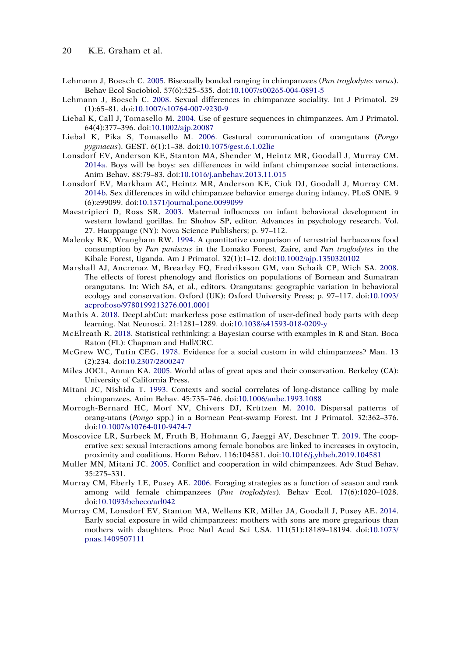- <span id="page-20-6"></span>Lehmann J, Boesch C. [2005](#page-7-2). Bisexually bonded ranging in chimpanzees (*Pan troglodytes verus*). Behav Ecol Sociobiol. 57(6):525–535. doi:[10.1007/s00265-004-0891-5](https://doi.org/10.1007/s00265-004-0891-5)
- <span id="page-20-5"></span>Lehmann J, Boesch C. [2008](#page-6-6). Sexual differences in chimpanzee sociality. Int J Primatol. 29 (1):65–81. doi:[10.1007/s10764-007-9230-9](https://doi.org/10.1007/s10764-007-9230-9)
- <span id="page-20-2"></span>Liebal K, Call J, Tomasello M. [2004](#page-4-1). Use of gesture sequences in chimpanzees. Am J Primatol. 64(4):377–396. doi:[10.1002/ajp.20087](https://doi.org/10.1002/ajp.20087)
- <span id="page-20-8"></span>Liebal K, Pika S, Tomasello M. [2006](#page-8-2). Gestural communication of orangutans (*Pongo pygmaeus*). GEST. 6(1):1–38. doi:[10.1075/gest.6.1.02lie](https://doi.org/10.1075/gest.6.1.02lie)
- <span id="page-20-10"></span>Lonsdorf EV, Anderson KE, Stanton MA, Shender M, Heintz MR, Goodall J, Murray CM. [2014a.](#page-9-5) Boys will be boys: sex differences in wild infant chimpanzee social interactions. Anim Behav. 88:79–83. doi:[10.1016/j.anbehav.2013.11.015](https://doi.org/10.1016/j.anbehav.2013.11.015)
- <span id="page-20-11"></span>Lonsdorf EV, Markham AC, Heintz MR, Anderson KE, Ciuk DJ, Goodall J, Murray CM. [2014b](#page-9-5). Sex differences in wild chimpanzee behavior emerge during infancy. PLoS ONE. 9 (6):e99099. doi:[10.1371/journal.pone.0099099](https://doi.org/10.1371/journal.pone.0099099)
- <span id="page-20-12"></span>Maestripieri D, Ross SR. [2003](#page-10-8). Maternal influences on infant behavioral development in western lowland gorillas. In: Shohov SP, editor. Advances in psychology research. Vol. 27. Hauppauge (NY): Nova Science Publishers; p. 97–112.
- <span id="page-20-3"></span>Malenky RK, Wrangham RW. [1994.](#page-4-4) A quantitative comparison of terrestrial herbaceous food consumption by *Pan paniscus* in the Lomako Forest, Zaire, and *Pan troglodytes* in the Kibale Forest, Uganda. Am J Primatol. 32(1):1–12. doi:[10.1002/ajp.1350320102](https://doi.org/10.1002/ajp.1350320102)
- <span id="page-20-0"></span>Marshall AJ, Ancrenaz M, Brearley FQ, Fredriksson GM, van Schaik CP, Wich SA. [2008](#page-3-3). The effects of forest phenology and floristics on populations of Bornean and Sumatran orangutans. In: Wich SA, et al., editors. Orangutans: geographic variation in behavioral ecology and conservation. Oxford (UK): Oxford University Press; p. 97–117. doi:[10.1093/](https://doi.org/10.1093/acprof:oso/9780199213276.001.0001)  [acprof:oso/9780199213276.001.0001](https://doi.org/10.1093/acprof:oso/9780199213276.001.0001)
- <span id="page-20-17"></span>Mathis A. [2018.](#page-14-7) DeepLabCut: markerless pose estimation of user-defined body parts with deep learning. Nat Neurosci. 21:1281–1289. doi:[10.1038/s41593-018-0209-y](https://doi.org/10.1038/s41593-018-0209-y)
- <span id="page-20-18"></span>McElreath R. [2018](#page-14-8). Statistical rethinking: a Bayesian course with examples in R and Stan. Boca Raton (FL): Chapman and Hall/CRC.
- <span id="page-20-15"></span>McGrew WC, Tutin CEG. [1978.](#page-11-6) Evidence for a social custom in wild chimpanzees? Man. 13 (2):234. doi:[10.2307/2800247](https://doi.org/10.2307/2800247)
- <span id="page-20-1"></span>Miles JOCL, Annan KA. [2005.](#page-3-4) World atlas of great apes and their conservation. Berkeley (CA): University of California Press.
- <span id="page-20-13"></span>Mitani JC, Nishida T. [1993.](#page-10-9) Contexts and social correlates of long-distance calling by male chimpanzees. Anim Behav. 45:735–746. doi:[10.1006/anbe.1993.1088](https://doi.org/10.1006/anbe.1993.1088)
- <span id="page-20-16"></span>Morrogh-Bernard HC, Morf NV, Chivers DJ, Krützen M. [2010.](#page-13-2) Dispersal patterns of orang-utans (*Pongo* spp.) in a Bornean Peat-swamp Forest. Int J Primatol. 32:362–376. doi:[10.1007/s10764-010-9474-7](https://doi.org/10.1007/s10764-010-9474-7)
- <span id="page-20-4"></span>Moscovice LR, Surbeck M, Fruth B, Hohmann G, Jaeggi AV, Deschner T. [2019.](#page-6-0) The cooperative sex: sexual interactions among female bonobos are linked to increases in oxytocin, proximity and coalitions. Horm Behav. 116:104581. doi:[10.1016/j.yhbeh.2019.104581](https://doi.org/10.1016/j.yhbeh.2019.104581)
- <span id="page-20-9"></span>Muller MN, Mitani JC. [2005](#page-9-6). Conflict and cooperation in wild chimpanzees. Adv Stud Behav. 35:275–331.
- <span id="page-20-14"></span>Murray CM, Eberly LE, Pusey AE. [2006.](#page-10-10) Foraging strategies as a function of season and rank among wild female chimpanzees (*Pan troglodytes*). Behav Ecol. 17(6):1020–1028. doi:[10.1093/beheco/arl042](https://doi.org/10.1093/beheco/arl042)
- <span id="page-20-7"></span>Murray CM, Lonsdorf EV, Stanton MA, Wellens KR, Miller JA, Goodall J, Pusey AE. [2014](#page-8-6). Early social exposure in wild chimpanzees: mothers with sons are more gregarious than mothers with daughters. Proc Natl Acad Sci USA. 111(51):18189–18194. doi:[10.1073/](https://doi.org/10.1073/pnas.1409507111)  [pnas.1409507111](https://doi.org/10.1073/pnas.1409507111)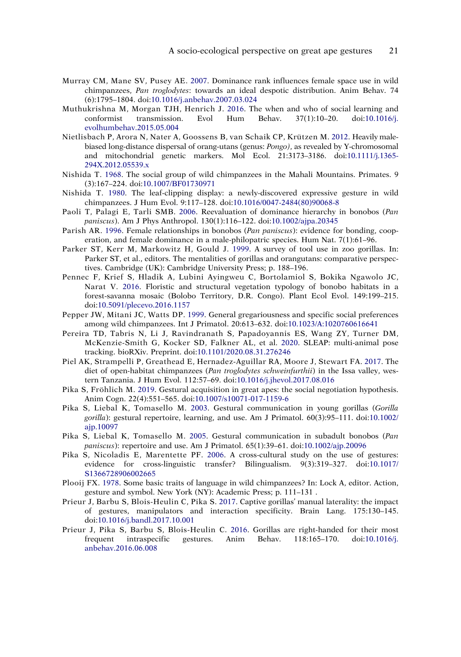- <span id="page-21-10"></span>Murray CM, Mane SV, Pusey AE. [2007.](#page-10-10) Dominance rank influences female space use in wild chimpanzees, *Pan troglodytes*: towards an ideal despotic distribution. Anim Behav. 74 (6):1795–1804. doi:[10.1016/j.anbehav.2007.03.024](https://doi.org/10.1016/j.anbehav.2007.03.024)
- <span id="page-21-11"></span>Muthukrishna M, Morgan TJH, Henrich J. [2016](#page-11-7). The when and who of social learning and conformist transmission. Evol Hum Behav. 37(1):10–20. doi:[10.1016/j.](https://doi.org/10.1016/j.evolhumbehav.2015.05.004)  [evolhumbehav.2015.05.004](https://doi.org/10.1016/j.evolhumbehav.2015.05.004)
- <span id="page-21-16"></span>Nietlisbach P, Arora N, Nater A, Goossens B, van Schaik CP, Krützen M. [2012.](#page-13-2) Heavily malebiased long-distance dispersal of orang-utans (genus: *Pongo)*, as revealed by Y-chromosomal and mitochondrial genetic markers. Mol Ecol. 21:3173–3186. doi:[10.1111/j.1365-](https://doi.org/10.1111/j.1365-294X.2012.05539.x)  [294X.2012.05539.x](https://doi.org/10.1111/j.1365-294X.2012.05539.x)
- <span id="page-21-1"></span>Nishida T. [1968.](#page-3-5) The social group of wild chimpanzees in the Mahali Mountains. Primates. 9 (3):167–224. doi:[10.1007/BF01730971](https://doi.org/10.1007/BF01730971)
- <span id="page-21-15"></span>Nishida T. [1980.](#page-12-1) The leaf-clipping display: a newly-discovered expressive gesture in wild chimpanzees. J Hum Evol. 9:117–128. doi:[10.1016/0047-2484\(80\)90068-8](https://doi.org/10.1016/0047-2484(80)90068-8)
- <span id="page-21-6"></span>Paoli T, Palagi E, Tarli SMB. [2006.](#page-5-5) Reevaluation of dominance hierarchy in bonobos (*Pan paniscus*). Am J Phys Anthropol. 130(1):116–122. doi:[10.1002/ajpa.20345](https://doi.org/10.1002/ajpa.20345)
- <span id="page-21-5"></span>Parish AR. [1996](#page-5-5). Female relationships in bonobos (*Pan paniscus*): evidence for bonding, cooperation, and female dominance in a male-philopatric species. Hum Nat. 7(1):61–96.
- <span id="page-21-3"></span>Parker ST, Kerr M, Markowitz H, Gould J. [1999.](#page-4-5) A survey of tool use in zoo gorillas. In: Parker ST, et al., editors. The mentalities of gorillas and orangutans: comparative perspectives. Cambridge (UK): Cambridge University Press; p. 188–196.
- <span id="page-21-0"></span>Pennec F, Krief S, Hladik A, Lubini Ayingweu C, Bortolamiol S, Bokika Ngawolo JC, Narat V. [2016](#page-3-6). Floristic and structural vegetation typology of bonobo habitats in a forest-savanna mosaic (Bolobo Territory, D.R. Congo). Plant Ecol Evol. 149:199–215. doi:[10.5091/plecevo.2016.1157](https://doi.org/10.5091/plecevo.2016.1157)
- <span id="page-21-2"></span>Pepper JW, Mitani JC, Watts DP. [1999.](#page-3-5) General gregariousness and specific social preferences among wild chimpanzees. Int J Primatol. 20:613–632. doi:[10.1023/A:1020760616641](https://doi.org/10.1023/A:1020760616641)
- <span id="page-21-18"></span>Pereira TD, Tabris N, Li J, Ravindranath S, Papadoyannis ES, Wang ZY, Turner DM, McKenzie-Smith G, Kocker SD, Falkner AL, et al. [2020.](#page-14-7) SLEAP: multi-animal pose tracking. bioRXiv. Preprint. doi:[10.1101/2020.08.31.276246](https://doi.org/10.1101/2020.08.31.276246)
- <span id="page-21-4"></span>Piel AK, Strampelli P, Greathead E, Hernadez-Aguillar RA, Moore J, Stewart FA. [2017](#page-4-6). The diet of open-habitat chimpanzees (*Pan troglodytes schweinfurthii*) in the Issa valley, western Tanzania. J Hum Evol. 112:57–69. doi:[10.1016/j.jhevol.2017.08.016](https://doi.org/10.1016/j.jhevol.2017.08.016)
- <span id="page-21-13"></span>Pika S, Fröhlich M. [2019](#page-11-8). Gestural acquisition in great apes: the social negotiation hypothesis. Anim Cogn. 22(4):551–565. doi:[10.1007/s10071-017-1159-6](https://doi.org/10.1007/s10071-017-1159-6)
- <span id="page-21-7"></span>Pika S, Liebal K, Tomasello M. [2003](#page-8-7). Gestural communication in young gorillas (*Gorilla gorilla*): gestural repertoire, learning, and use. Am J Primatol. 60(3):95–111. doi:[10.1002/](https://doi.org/10.1002/ajp.10097)  [ajp.10097](https://doi.org/10.1002/ajp.10097)
- <span id="page-21-17"></span>Pika S, Liebal K, Tomasello M. [2005.](#page-13-3) Gestural communication in subadult bonobos (*Pan paniscus*): repertoire and use. Am J Primatol. 65(1):39–61. doi:[10.1002/ajp.20096](https://doi.org/10.1002/ajp.20096)
- <span id="page-21-14"></span>Pika S, Nicoladis E, Marentette PF. [2006.](#page-12-8) A cross-cultural study on the use of gestures: evidence for cross-linguistic transfer? Bilingualism. 9(3):319–327. doi:[10.1017/](https://doi.org/10.1017/S1366728906002665)  [S1366728906002665](https://doi.org/10.1017/S1366728906002665)
- <span id="page-21-12"></span>Plooij FX. [1978](#page-11-9). Some basic traits of language in wild chimpanzees? In: Lock A, editor. Action, gesture and symbol. New York (NY): Academic Press; p. 111–131 .
- <span id="page-21-9"></span>Prieur J, Barbu S, Blois-Heulin C, Pika S. [2017](#page-9-7). Captive gorillas' manual laterality: the impact of gestures, manipulators and interaction specificity. Brain Lang. 175:130–145. doi:[10.1016/j.bandl.2017.10.001](https://doi.org/10.1016/j.bandl.2017.10.001)
- <span id="page-21-8"></span>Prieur J, Pika S, Barbu S, Blois-Heulin C. [2016.](#page-9-8) Gorillas are right-handed for their most frequent intraspecific gestures. Anim Behav. 118:165–170. doi:[10.1016/j.](https://doi.org/10.1016/j.anbehav.2016.06.008)  [anbehav.2016.06.008](https://doi.org/10.1016/j.anbehav.2016.06.008)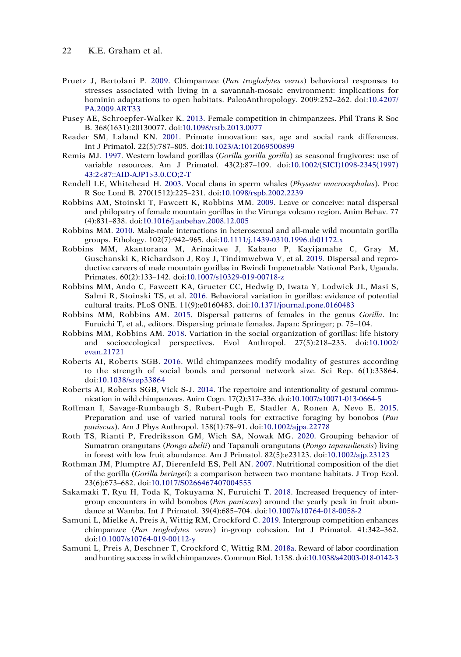- <span id="page-22-2"></span>Pruetz J, Bertolani P. [2009](#page-4-7). Chimpanzee (*Pan troglodytes verus*) behavioral responses to stresses associated with living in a savannah-mosaic environment: implications for hominin adaptations to open habitats. PaleoAnthropology. 2009:252–262. doi:[10.4207/](https://doi.org/10.4207/PA.2009.ART33)  [PA.2009.ART33](https://doi.org/10.4207/PA.2009.ART33)
- <span id="page-22-4"></span>Pusey AE, Schroepfer-Walker K. [2013.](#page-5-6) Female competition in chimpanzees. Phil Trans R Soc B. 368(1631):20130077. doi:[10.1098/rstb.2013.0077](https://doi.org/10.1098/rstb.2013.0077)
- <span id="page-22-13"></span>Reader SM, Laland KN. [2001.](#page-10-11) Primate innovation: sax, age and social rank differences. Int J Primatol. 22(5):787–805. doi:[10.1023/A:1012069500899](https://doi.org/10.1023/A:1012069500899)
- <span id="page-22-10"></span>Remis MJ. [1997.](#page-6-7) Western lowland gorillas (*Gorilla gorilla gorilla*) as seasonal frugivores: use of variable resources. Am J Primatol. 43(2):87–109. doi:[10.1002/\(SICI\)1098-2345\(1997\)](https://doi.org/10.1002/(SICI)1098-2345(1997)43:2%3C87::AID-AJP1%3E3.0.CO;2-T)  [43:2<87::AID-AJP1>3.0.CO;2-T](https://doi.org/10.1002/(SICI)1098-2345(1997)43:2%3C87::AID-AJP1%3E3.0.CO;2-T)
- <span id="page-22-16"></span>Rendell LE, Whitehead H. [2003](#page-12-0). Vocal clans in sperm whales (*Physeter macrocephalus*). Proc R Soc Lond B. 270(1512):225–231. doi:[10.1098/rspb.2002.2239](https://doi.org/10.1098/rspb.2002.2239)
- <span id="page-22-17"></span>Robbins AM, Stoinski T, Fawcett K, Robbins MM. [2009.](#page-13-4) Leave or conceive: natal dispersal and philopatry of female mountain gorillas in the Virunga volcano region. Anim Behav. 77 (4):831–838. doi:[10.1016/j.anbehav.2008.12.005](https://doi.org/10.1016/j.anbehav.2008.12.005)
- <span id="page-22-8"></span>Robbins MM. [2010.](#page-6-8) Male-male interactions in heterosexual and all-male wild mountain gorilla groups. Ethology. 102(7):942–965. doi:[10.1111/j.1439-0310.1996.tb01172.x](https://doi.org/10.1111/j.1439-0310.1996.tb01172.x)
- <span id="page-22-5"></span>Robbins MM, Akantorana M, Arinaitwe J, Kabano P, Kayijamahe C, Gray M, Guschanski K, Richardson J, Roy J, Tindimwebwa V, et al. [2019](#page-5-7). Dispersal and reproductive careers of male mountain gorillas in Bwindi Impenetrable National Park, Uganda. Primates. 60(2):133–142. doi:[10.1007/s10329-019-00718-z](https://doi.org/10.1007/s10329-019-00718-z)
- <span id="page-22-15"></span>Robbins MM, Ando C, Fawcett KA, Grueter CC, Hedwig D, Iwata Y, Lodwick JL, Masi S, Salmi R, Stoinski TS, et al. [2016](#page-11-10). Behavioral variation in gorillas: evidence of potential cultural traits. PLoS ONE. 11(9):e0160483. doi:[10.1371/journal.pone.0160483](https://doi.org/10.1371/journal.pone.0160483)
- <span id="page-22-11"></span>Robbins MM, Robbins AM. [2015](#page-7-3). Dispersal patterns of females in the genus *Gorilla*. In: Furuichi T, et al., editors. Dispersing primate females. Japan: Springer; p. 75–104.
- <span id="page-22-3"></span>Robbins MM, Robbins AM. [2018](#page-5-8). Variation in the social organization of gorillas: life history and socioecological perspectives. Evol Anthropol. 27(5):218–233. doi:[10.1002/](https://doi.org/10.1002/evan.21721)  [evan.21721](https://doi.org/10.1002/evan.21721)
- <span id="page-22-9"></span>Roberts AI, Roberts SGB. [2016.](#page-6-9) Wild chimpanzees modify modality of gestures according to the strength of social bonds and personal network size. Sci Rep. 6(1):33864. doi:[10.1038/srep33864](https://doi.org/10.1038/srep33864)
- <span id="page-22-18"></span>Roberts AI, Roberts SGB, Vick S-J. [2014](#page-13-5). The repertoire and intentionality of gestural communication in wild chimpanzees. Anim Cogn. 17(2):317–336. doi:[10.1007/s10071-013-0664-5](https://doi.org/10.1007/s10071-013-0664-5)
- <span id="page-22-0"></span>Roffman I, Savage-Rumbaugh S, Rubert-Pugh E, Stadler A, Ronen A, Nevo E. [2015](#page-4-8). Preparation and use of varied natural tools for extractive foraging by bonobos (*Pan paniscus*). Am J Phys Anthropol. 158(1):78–91. doi:[10.1002/ajpa.22778](https://doi.org/10.1002/ajpa.22778)
- <span id="page-22-14"></span>Roth TS, Rianti P, Fredriksson GM, Wich SA, Nowak MG. [2020](#page-11-11). Grouping behavior of Sumatran orangutans (*Pongo abelii*) and Tapanuli orangutans (*Pongo tapanuliensis*) living in forest with low fruit abundance. Am J Primatol. 82(5):e23123. doi:[10.1002/ajp.23123](https://doi.org/10.1002/ajp.23123)
- <span id="page-22-1"></span>Rothman JM, Plumptre AJ, Dierenfeld ES, Pell AN. [2007](#page-4-9). Nutritional composition of the diet of the gorilla (*Gorilla beringei*): a comparison between two montane habitats. J Trop Ecol. 23(6):673–682. doi:[10.1017/S0266467407004555](https://doi.org/10.1017/S0266467407004555)
- <span id="page-22-12"></span>Sakamaki T, Ryu H, Toda K, Tokuyama N, Furuichi T. [2018](#page-7-4). Increased frequency of intergroup encounters in wild bonobos (*Pan paniscus*) around the yearly peak in fruit abundance at Wamba. Int J Primatol. 39(4):685–704. doi:[10.1007/s10764-018-0058-2](https://doi.org/10.1007/s10764-018-0058-2)
- <span id="page-22-7"></span>Samuni L, Mielke A, Preis A, Wittig RM, Crockford C. [2019](#page-6-10). Intergroup competition enhances chimpanzee (*Pan troglodytes verus*) in-group cohesion. Int J Primatol. 41:342–362. doi:[10.1007/s10764-019-00112-y](https://doi.org/10.1007/s10764-019-00112-y)
- <span id="page-22-6"></span>Samuni L, Preis A, Deschner T, Crockford C, Wittig RM. [2018a](#page-6-11). Reward of labor coordination and hunting success in wild chimpanzees. Commun Biol. 1:138. doi:[10.1038/s42003-018-0142-3](https://doi.org/10.1038/s42003-018-0142-3)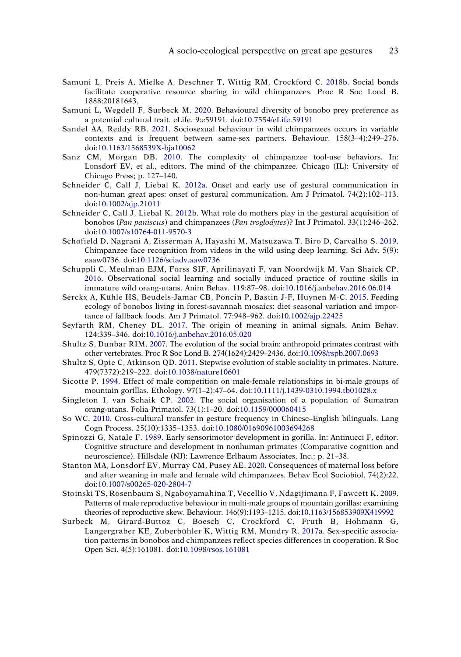- <span id="page-23-8"></span>Samuni L, Preis A, Mielke A, Deschner T, Wittig RM, Crockford C. [2018b.](#page-6-1) Social bonds facilitate cooperative resource sharing in wild chimpanzees. Proc R Soc Lond B. 1888:20181643.
- <span id="page-23-16"></span>Samuni L, Wegdell F, Surbeck M. [2020](#page-11-12). Behavioural diversity of bonobo prey preference as a potential cultural trait. eLife. 9:e59191. doi:[10.7554/eLife.59191](https://doi.org/10.7554/eLife.59191)
- <span id="page-23-9"></span>Sandel AA, Reddy RB. [2021](#page-6-0). Sociosexual behaviour in wild chimpanzees occurs in variable contexts and is frequent between same-sex partners. Behaviour. 158(3–4):249–276. doi:[10.1163/1568539X-bja10062](https://doi.org/10.1163/1568539X-bja10062)
- <span id="page-23-5"></span>Sanz CM, Morgan DB. [2010.](#page-5-3) The complexity of chimpanzee tool-use behaviors. In: Lonsdorf EV, et al., editors. The mind of the chimpanzee. Chicago (IL): University of Chicago Press; p. 127–140.
- <span id="page-23-12"></span>Schneider C, Call J, Liebal K. [2012a](#page-8-8). Onset and early use of gestural communication in non-human great apes: onset of gestural communication. Am J Primatol. 74(2):102–113. doi:[10.1002/ajp.21011](https://doi.org/10.1002/ajp.21011)
- <span id="page-23-13"></span>Schneider C, Call J, Liebal K. [2012b](#page-8-9). What role do mothers play in the gestural acquisition of bonobos (*Pan paniscus*) and chimpanzees (*Pan troglodytes*)? Int J Primatol. 33(1):246–262. doi:[10.1007/s10764-011-9570-3](https://doi.org/10.1007/s10764-011-9570-3)
- <span id="page-23-18"></span>Schofield D, Nagrani A, Zisserman A, Hayashi M, Matsuzawa T, Biro D, Carvalho S. [2019](#page-14-9). Chimpanzee face recognition from videos in the wild using deep learning. Sci Adv. 5(9): eaaw0736. doi:[10.1126/sciadv.aaw0736](https://doi.org/10.1126/sciadv.aaw0736)
- <span id="page-23-15"></span>Schuppli C, Meulman EJM, Forss SIF, Aprilinayati F, van Noordwijk M, Van Shaick CP. [2016](#page-11-2). Observational social learning and socially induced practice of routine skills in immature wild orang-utans. Anim Behav. 119:87–98. doi:[10.1016/j.anbehav.2016.06.014](https://doi.org/10.1016/j.anbehav.2016.06.014)
- <span id="page-23-4"></span>Serckx A, Kühle HS, Beudels-Jamar CB, Poncin P, Bastin J-F, Huynen M-C. [2015](#page-4-10). Feeding ecology of bonobos living in forest-savannah mosaics: diet seasonal variation and importance of fallback foods. Am J Primatol. 77:948–962. doi:[10.1002/ajp.22425](https://doi.org/10.1002/ajp.22425)
- <span id="page-23-0"></span>Seyfarth RM, Cheney DL. [2017](#page-2-3). The origin of meaning in animal signals. Anim Behav. 124:339–346. doi:[10.1016/j.anbehav.2016.05.020](https://doi.org/10.1016/j.anbehav.2016.05.020)
- <span id="page-23-1"></span>Shultz S, Dunbar RIM. [2007](#page-3-7). The evolution of the social brain: anthropoid primates contrast with other vertebrates. Proc R Soc Lond B. 274(1624):2429–2436. doi:[10.1098/rspb.2007.0693](https://doi.org/10.1098/rspb.2007.0693)
- <span id="page-23-2"></span>Shultz S, Opie C, Atkinson QD. [2011](#page-3-8). Stepwise evolution of stable sociality in primates. Nature. 479(7372):219–222. doi:[10.1038/nature10601](https://doi.org/10.1038/nature10601)
- <span id="page-23-6"></span>Sicotte P. [1994](#page-5-9). Effect of male competition on male-female relationships in bi-male groups of mountain gorillas. Ethology. 97(1–2):47–64. doi:[10.1111/j.1439-0310.1994.tb01028.x](https://doi.org/10.1111/j.1439-0310.1994.tb01028.x)
- <span id="page-23-3"></span>Singleton I, van Schaik CP. [2002.](#page-3-9) The social organisation of a population of Sumatran orang-utans. Folia Primatol. 73(1):1–20. doi:[10.1159/000060415](https://doi.org/10.1159/000060415)
- <span id="page-23-17"></span>So WC. [2010](#page-12-9). Cross-cultural transfer in gesture frequency in Chinese–English bilinguals. Lang Cogn Process. 25(10):1335–1353. doi:[10.1080/01690961003694268](https://doi.org/10.1080/01690961003694268)
- <span id="page-23-14"></span>Spinozzi G, Natale F. [1989.](#page-8-10) Early sensorimotor development in gorilla. In: Antinucci F, editor. Cognitive structure and development in nonhuman primates (Comparative cognition and neuroscience). Hillsdale (NJ): Lawrence Erlbaum Associates, Inc.; p. 21–38.
- <span id="page-23-11"></span>Stanton MA, Lonsdorf EV, Murray CM, Pusey AE. [2020](#page-8-11). Consequences of maternal loss before and after weaning in male and female wild chimpanzees. Behav Ecol Sociobiol. 74(2):22. doi:[10.1007/s00265-020-2804-7](https://doi.org/10.1007/s00265-020-2804-7)
- <span id="page-23-7"></span>Stoinski TS, Rosenbaum S, Ngaboyamahina T, Vecellio V, Ndagijimana F, Fawcett K. [2009](#page-5-10). Patterns of male reproductive behaviour in multi-male groups of mountain gorillas: examining theories of reproductive skew. Behaviour. 146(9):1193–1215. doi:[10.1163/156853909X419992](https://doi.org/10.1163/156853909X419992)
- <span id="page-23-10"></span>Surbeck M, Girard-Buttoz C, Boesch C, Crockford C, Fruth B, Hohmann G, Langergraber KE, Zuberbühler K, Wittig RM, Mundry R. [2017a](#page-6-12). Sex-specific association patterns in bonobos and chimpanzees reflect species differences in cooperation. R Soc Open Sci. 4(5):161081. doi:[10.1098/rsos.161081](https://doi.org/10.1098/rsos.161081)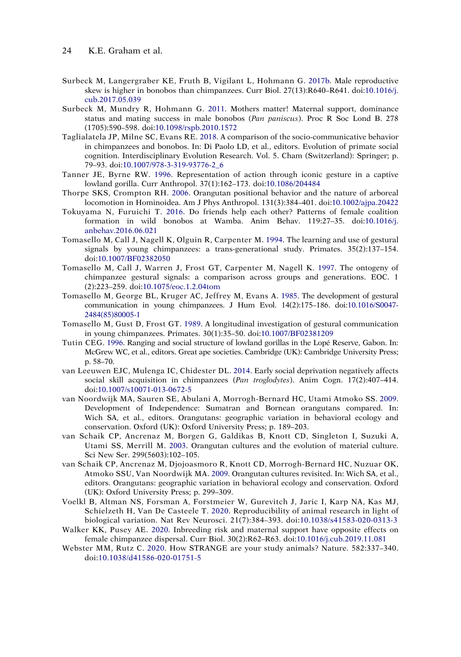- <span id="page-24-12"></span>Surbeck M, Langergraber KE, Fruth B, Vigilant L, Hohmann G. [2017b.](#page-10-10) Male reproductive skew is higher in bonobos than chimpanzees. Curr Biol. 27(13):R640–R641. doi:[10.1016/j.](https://doi.org/10.1016/j.cub.2017.05.039)  [cub.2017.05.039](https://doi.org/10.1016/j.cub.2017.05.039)
- <span id="page-24-9"></span>Surbeck M, Mundry R, Hohmann G. [2011.](#page-6-12) Mothers matter! Maternal support, dominance status and mating success in male bonobos (*Pan paniscus*). Proc R Soc Lond B. 278 (1705):590–598. doi:[10.1098/rspb.2010.1572](https://doi.org/10.1098/rspb.2010.1572)
- <span id="page-24-13"></span>Taglialatela JP, Milne SC, Evans RE. [2018.](#page-10-5) A comparison of the socio-communicative behavior in chimpanzees and bonobos. In: Di Paolo LD, et al., editors. Evolution of primate social cognition. Interdisciplinary Evolution Research. Vol. 5. Cham (Switzerland): Springer; p. 79–93. doi:[10.1007/978-3-319-93776-2\\_6](https://doi.org/10.1007/978-3-319-93776-2_6)
- <span id="page-24-15"></span>Tanner JE, Byrne RW. [1996.](#page-13-6) Representation of action through iconic gesture in a captive lowland gorilla. Curr Anthropol. 37(1):162–173. doi:[10.1086/204484](https://doi.org/10.1086/204484)
- <span id="page-24-5"></span>Thorpe SKS, Crompton RH. [2006.](#page-4-11) Orangutan positional behavior and the nature of arboreal locomotion in Hominoidea. Am J Phys Anthropol. 131(3):384–401. doi:[10.1002/ajpa.20422](https://doi.org/10.1002/ajpa.20422)
- <span id="page-24-8"></span>Tokuyama N, Furuichi T. [2016.](#page-6-13) Do friends help each other? Patterns of female coalition formation in wild bonobos at Wamba. Anim Behav. 119:27–35. doi:[10.1016/j.](https://doi.org/10.1016/j.anbehav.2016.06.021)  [anbehav.2016.06.021](https://doi.org/10.1016/j.anbehav.2016.06.021)
- <span id="page-24-2"></span>Tomasello M, Call J, Nagell K, Olguin R, Carpenter M. [1994.](#page-2-4) The learning and use of gestural signals by young chimpanzees: a trans-generational study. Primates. 35(2):137–154. doi:[10.1007/BF02382050](https://doi.org/10.1007/BF02382050)
- <span id="page-24-3"></span>Tomasello M, Call J, Warren J, Frost GT, Carpenter M, Nagell K. [1997](#page-2-4). The ontogeny of chimpanzee gestural signals: a comparison across groups and generations. EOC. 1 (2):223–259. doi:[10.1075/eoc.1.2.04tom](https://doi.org/10.1075/eoc.1.2.04tom)
- <span id="page-24-0"></span>Tomasello M, George BL, Kruger AC, Jeffrey M, Evans A. [1985](#page-2-4). The development of gestural communication in young chimpanzees. J Hum Evol. 14(2):175–186. doi:[10.1016/S0047-](https://doi.org/10.1016/S0047-2484(85)80005-1) [2484\(85\)80005-1](https://doi.org/10.1016/S0047-2484(85)80005-1)
- <span id="page-24-1"></span>Tomasello M, Gust D, Frost GT. [1989.](#page-2-4) A longitudinal investigation of gestural communication in young chimpanzees. Primates. 30(1):35–50. doi:[10.1007/BF02381209](https://doi.org/10.1007/BF02381209)
- <span id="page-24-10"></span>Tutin CEG. [1996.](#page-6-7) Ranging and social structure of lowland gorillas in the Lopé Reserve, Gabon. In: McGrew WC, et al., editors. Great ape societies. Cambridge (UK): Cambridge University Press; p. 58–70.
- <span id="page-24-11"></span>van Leeuwen EJC, Mulenga IC, Chidester DL. [2014.](#page-8-11) Early social deprivation negatively affects social skill acquisition in chimpanzees (*Pan troglodytes*). Anim Cogn. 17(2):407–414. doi:[10.1007/s10071-013-0672-5](https://doi.org/10.1007/s10071-013-0672-5)
- <span id="page-24-4"></span>van Noordwijk MA, Sauren SE, Abulani A, Morrogh-Bernard HC, Utami Atmoko SS. [2009](#page-3-10). Development of Independence: Sumatran and Bornean orangutans compared. In: Wich SA, et al., editors. Orangutans: geographic variation in behavioral ecology and conservation. Oxford (UK): Oxford University Press; p. 189–203.
- <span id="page-24-7"></span>van Schaik CP, Ancrenaz M, Borgen G, Galdikas B, Knott CD, Singleton I, Suzuki A, Utami SS, Merrill M. [2003.](#page-5-11) Orangutan cultures and the evolution of material culture. Sci New Ser. 299(5603):102–105.
- <span id="page-24-6"></span>van Schaik CP, Ancrenaz M, Djojoasmoro R, Knott CD, Morrogh-Bernard HC, Nuzuar OK, Atmoko SSU, Van Noordwijk MA. [2009](#page-4-12). Orangutan cultures revisited. In: Wich SA, et al., editors. Orangutans: geographic variation in behavioral ecology and conservation. Oxford (UK): Oxford University Press; p. 299–309.
- <span id="page-24-16"></span>Voelkl B, Altman NS, Forsman A, Forstmeier W, Gurevitch J, Jaric I, Karp NA, Kas MJ, Schielzeth H, Van De Casteele T. [2020.](#page-14-6) Reproducibility of animal research in light of biological variation. Nat Rev Neurosci. 21(7):384–393. doi:[10.1038/s41583-020-0313-3](https://doi.org/10.1038/s41583-020-0313-3)
- <span id="page-24-14"></span>Walker KK, Pusey AE. [2020.](#page-13-7) Inbreeding risk and maternal support have opposite effects on female chimpanzee dispersal. Curr Biol. 30(2):R62–R63. doi:[10.1016/j.cub.2019.11.081](https://doi.org/10.1016/j.cub.2019.11.081)
- <span id="page-24-17"></span>Webster MM, Rutz C. [2020](#page-14-6). How STRANGE are your study animals? Nature. 582:337–340. doi:[10.1038/d41586-020-01751-5](https://doi.org/10.1038/d41586-020-01751-5)